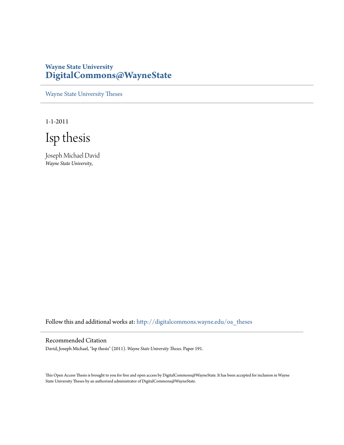# **Wayne State University [DigitalCommons@WayneState](http://digitalcommons.wayne.edu?utm_source=digitalcommons.wayne.edu%2Foa_theses%2F191&utm_medium=PDF&utm_campaign=PDFCoverPages)**

[Wayne State University Theses](http://digitalcommons.wayne.edu/oa_theses?utm_source=digitalcommons.wayne.edu%2Foa_theses%2F191&utm_medium=PDF&utm_campaign=PDFCoverPages)

1-1-2011

Isp thesis

Joseph Michael David *Wayne State University*,

Follow this and additional works at: [http://digitalcommons.wayne.edu/oa\\_theses](http://digitalcommons.wayne.edu/oa_theses?utm_source=digitalcommons.wayne.edu%2Foa_theses%2F191&utm_medium=PDF&utm_campaign=PDFCoverPages)

### Recommended Citation

David, Joseph Michael, "Isp thesis" (2011). *Wayne State University Theses.* Paper 191.

This Open Access Thesis is brought to you for free and open access by DigitalCommons@WayneState. It has been accepted for inclusion in Wayne State University Theses by an authorized administrator of DigitalCommons@WayneState.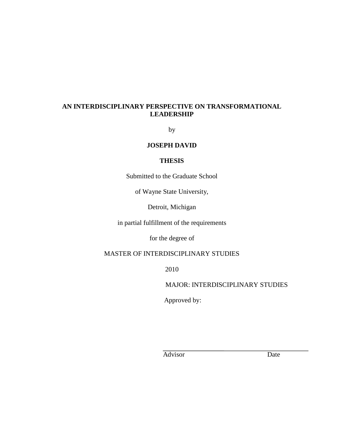## **AN INTERDISCIPLINARY PERSPECTIVE ON TRANSFORMATIONAL LEADERSHIP**

by

## **JOSEPH DAVID**

### **THESIS**

Submitted to the Graduate School

of Wayne State University,

Detroit, Michigan

in partial fulfillment of the requirements

for the degree of

# MASTER OF INTERDISCIPLINARY STUDIES

2010

MAJOR: INTERDISCIPLINARY STUDIES

Approved by:

Advisor Date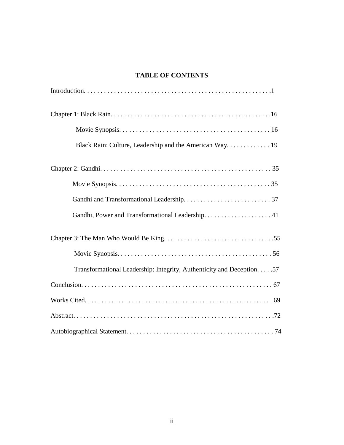# **TABLE OF CONTENTS**

| Black Rain: Culture, Leadership and the American Way 19                |
|------------------------------------------------------------------------|
|                                                                        |
|                                                                        |
|                                                                        |
|                                                                        |
|                                                                        |
|                                                                        |
| Transformational Leadership: Integrity, Authenticity and Deception. 57 |
|                                                                        |
|                                                                        |
|                                                                        |
|                                                                        |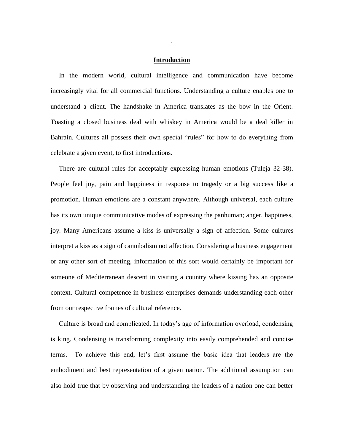### **Introduction**

 In the modern world, cultural intelligence and communication have become increasingly vital for all commercial functions. Understanding a culture enables one to understand a client. The handshake in America translates as the bow in the Orient. Toasting a closed business deal with whiskey in America would be a deal killer in Bahrain. Cultures all possess their own special "rules" for how to do everything from celebrate a given event, to first introductions.

 There are cultural rules for acceptably expressing human emotions (Tuleja 32-38). People feel joy, pain and happiness in response to tragedy or a big success like a promotion. Human emotions are a constant anywhere. Although universal, each culture has its own unique communicative modes of expressing the panhuman; anger, happiness, joy. Many Americans assume a kiss is universally a sign of affection. Some cultures interpret a kiss as a sign of cannibalism not affection. Considering a business engagement or any other sort of meeting, information of this sort would certainly be important for someone of Mediterranean descent in visiting a country where kissing has an opposite context. Cultural competence in business enterprises demands understanding each other from our respective frames of cultural reference.

 Culture is broad and complicated. In today's age of information overload, condensing is king. Condensing is transforming complexity into easily comprehended and concise terms. To achieve this end, let's first assume the basic idea that leaders are the embodiment and best representation of a given nation. The additional assumption can also hold true that by observing and understanding the leaders of a nation one can better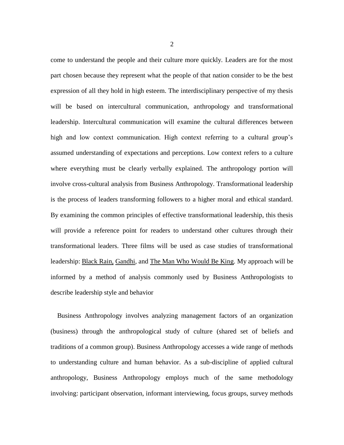come to understand the people and their culture more quickly. Leaders are for the most part chosen because they represent what the people of that nation consider to be the best expression of all they hold in high esteem. The interdisciplinary perspective of my thesis will be based on intercultural communication, anthropology and transformational leadership. Intercultural communication will examine the cultural differences between high and low context communication. High context referring to a cultural group's assumed understanding of expectations and perceptions. Low context refers to a culture where everything must be clearly verbally explained. The anthropology portion will involve cross-cultural analysis from Business Anthropology. Transformational leadership is the process of leaders transforming followers to a higher moral and ethical standard. By examining the common principles of effective transformational leadership, this thesis will provide a reference point for readers to understand other cultures through their transformational leaders. Three films will be used as case studies of transformational leadership: Black Rain, Gandhi, and The Man Who Would Be King. My approach will be informed by a method of analysis commonly used by Business Anthropologists to describe leadership style and behavior

 Business Anthropology involves analyzing management factors of an organization (business) through the anthropological study of culture (shared set of beliefs and traditions of a common group). Business Anthropology accesses a wide range of methods to understanding culture and human behavior. As a sub-discipline of applied cultural anthropology, Business Anthropology employs much of the same methodology involving: participant observation, informant interviewing, focus groups, survey methods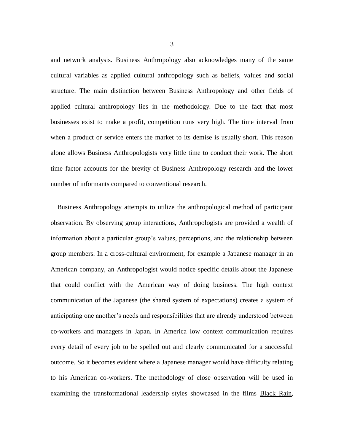and network analysis. Business Anthropology also acknowledges many of the same cultural variables as applied cultural anthropology such as beliefs, values and social structure. The main distinction between Business Anthropology and other fields of applied cultural anthropology lies in the methodology. Due to the fact that most businesses exist to make a profit, competition runs very high. The time interval from when a product or service enters the market to its demise is usually short. This reason alone allows Business Anthropologists very little time to conduct their work. The short time factor accounts for the brevity of Business Anthropology research and the lower number of informants compared to conventional research.

 Business Anthropology attempts to utilize the anthropological method of participant observation. By observing group interactions, Anthropologists are provided a wealth of information about a particular group's values, perceptions, and the relationship between group members. In a cross-cultural environment, for example a Japanese manager in an American company, an Anthropologist would notice specific details about the Japanese that could conflict with the American way of doing business. The high context communication of the Japanese (the shared system of expectations) creates a system of anticipating one another's needs and responsibilities that are already understood between co-workers and managers in Japan. In America low context communication requires every detail of every job to be spelled out and clearly communicated for a successful outcome. So it becomes evident where a Japanese manager would have difficulty relating to his American co-workers. The methodology of close observation will be used in examining the transformational leadership styles showcased in the films Black Rain,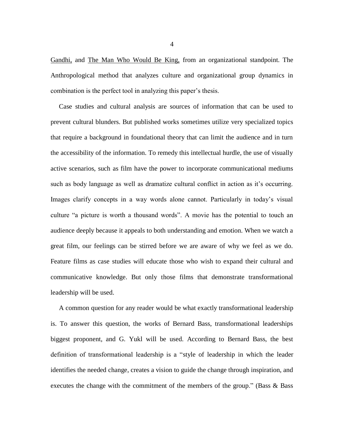Gandhi, and The Man Who Would Be King, from an organizational standpoint. The Anthropological method that analyzes culture and organizational group dynamics in combination is the perfect tool in analyzing this paper's thesis.

 Case studies and cultural analysis are sources of information that can be used to prevent cultural blunders. But published works sometimes utilize very specialized topics that require a background in foundational theory that can limit the audience and in turn the accessibility of the information. To remedy this intellectual hurdle, the use of visually active scenarios, such as film have the power to incorporate communicational mediums such as body language as well as dramatize cultural conflict in action as it's occurring. Images clarify concepts in a way words alone cannot. Particularly in today's visual culture "a picture is worth a thousand words". A movie has the potential to touch an audience deeply because it appeals to both understanding and emotion. When we watch a great film, our feelings can be stirred before we are aware of why we feel as we do. Feature films as case studies will educate those who wish to expand their cultural and communicative knowledge. But only those films that demonstrate transformational leadership will be used.

 A common question for any reader would be what exactly transformational leadership is. To answer this question, the works of Bernard Bass, transformational leaderships biggest proponent, and G. Yukl will be used. According to Bernard Bass, the best definition of transformational leadership is a ["style](http://www.businessdictionary.com/definition/style.html) of [leadership](http://www.businessdictionary.com/definition/leadership.html) in which the [leader](http://www.businessdictionary.com/definition/leader.html) identifies the needed [change,](http://www.businessdictionary.com/definition/change.html) [creates](http://www.businessdictionary.com/definition/create.html) a vision to guide the change through inspiration, and [executes](http://www.businessdictionary.com/definition/execute.html) the change with the [commitment](http://www.businessdictionary.com/definition/commitment.html) of the [members](http://www.businessdictionary.com/definition/member.html) of the [group.](http://www.businessdictionary.com/definition/group.html)" (Bass  $\&$  Bass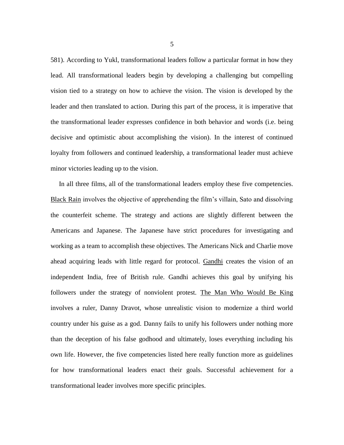581). According to Yukl, transformational leaders follow a particular format in how they lead. All transformational leaders begin by developing a challenging but compelling vision tied to a strategy on how to achieve the vision. The vision is developed by the leader and then translated to action. During this part of the process, it is imperative that the transformational leader expresses confidence in both behavior and words (i.e. being decisive and optimistic about accomplishing the vision). In the interest of continued loyalty from followers and continued leadership, a transformational leader must achieve minor victories leading up to the vision.

 In all three films, all of the transformational leaders employ these five competencies. Black Rain involves the objective of apprehending the film's villain, Sato and dissolving the counterfeit scheme. The strategy and actions are slightly different between the Americans and Japanese. The Japanese have strict procedures for investigating and working as a team to accomplish these objectives. The Americans Nick and Charlie move ahead acquiring leads with little regard for protocol. Gandhi creates the vision of an independent India, free of British rule. Gandhi achieves this goal by unifying his followers under the strategy of nonviolent protest. The Man Who Would Be King involves a ruler, Danny Dravot, whose unrealistic vision to modernize a third world country under his guise as a god. Danny fails to unify his followers under nothing more than the deception of his false godhood and ultimately, loses everything including his own life. However, the five competencies listed here really function more as guidelines for how transformational leaders enact their goals. Successful achievement for a transformational leader involves more specific principles.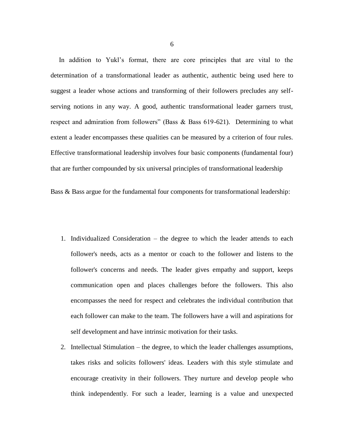In addition to Yukl's format, there are core principles that are vital to the determination of a transformational leader as authentic, authentic being used here to suggest a leader whose actions and transforming of their followers precludes any selfserving notions in any way. A good, authentic transformational leader garners trust, respect and admiration from followers" (Bass & Bass 619-621). Determining to what extent a leader encompasses these qualities can be measured by a criterion of four rules. Effective transformational leadership involves four basic components (fundamental four) that are further compounded by six universal principles of transformational leadership

Bass & Bass argue for the fundamental four components for transformational leadership:

- 1. Individualized Consideration the degree to which the leader attends to each follower's needs, acts as a [mentor](http://en.wikipedia.org/wiki/Mentor) or coach to the follower and listens to the follower's concerns and needs. The leader gives empathy and support, keeps communication open and places challenges before the followers. This also encompasses the need for respect and celebrates the individual contribution that each follower can make to the team. The followers have a will and aspirations for self development and have intrinsic motivation for their tasks.
- 2. Intellectual Stimulation the degree, to which the leader challenges assumptions, takes risks and solicits followers' ideas. Leaders with this style stimulate and encourage [creativity](http://en.wikipedia.org/wiki/Creativity) in their followers. They nurture and develop people who think independently. For such a leader, learning is a value and unexpected

6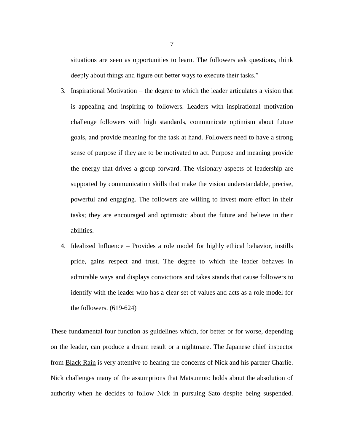situations are seen as opportunities to learn. The followers ask questions, think deeply about things and figure out better ways to execute their tasks."

- 3. Inspirational Motivation the degree to which the leader articulates a vision that is appealing and inspiring to followers. Leaders with inspirational [motivation](http://en.wikipedia.org/wiki/Motivation) challenge followers with high standards, communicate optimism about future goals, and provide meaning for the task at hand. Followers need to have a strong sense of purpose if they are to be motivated to act. Purpose and meaning provide the energy that drives a group forward. The visionary aspects of leadership are supported by communication skills that make the vision understandable, precise, powerful and engaging. The followers are willing to invest more effort in their tasks; they are encouraged and optimistic about the future and believe in their abilities.
- 4. Idealized Influence Provides a role model for highly ethical behavior, instills pride, gains respect and trust. The degree to which the leader behaves in admirable ways and displays convictions and takes stands that cause followers to identify with the leader who has a clear set of values and acts as a role model for the followers. (619-624)

These fundamental four function as guidelines which, for better or for worse, depending on the leader, can produce a dream result or a nightmare. The Japanese chief inspector from Black Rain is very attentive to hearing the concerns of Nick and his partner Charlie. Nick challenges many of the assumptions that Matsumoto holds about the absolution of authority when he decides to follow Nick in pursuing Sato despite being suspended.

7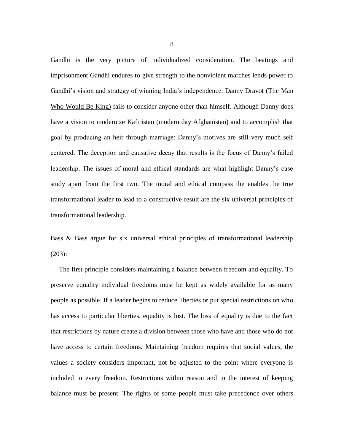Gandhi is the very picture of individualized consideration. The beatings and imprisonment Gandhi endures to give strength to the nonviolent marches lends power to Gandhi's vision and strategy of winning India's independence. Danny Dravot (The Man Who Would Be King) fails to consider anyone other than himself. Although Danny does have a vision to modernize Kafiristan (modern day Afghanistan) and to accomplish that goal by producing an heir through marriage; Danny's motives are still very much self centered. The deception and causative decay that results is the focus of Danny's failed leadership. The issues of moral and ethical standards are what highlight Danny's case study apart from the first two. The moral and ethical compass the enables the true transformational leader to lead to a constructive result are the six universal principles of transformational leadership.

Bass & Bass argue for six universal ethical principles of transformational leadership (203):

 The first principle considers maintaining a balance between freedom and equality. To preserve equality individual freedoms must be kept as widely available for as many people as possible. If a leader begins to reduce liberties or put special restrictions on who has access to particular liberties, equality is lost. The loss of equality is due to the fact that restrictions by nature create a division between those who have and those who do not have access to certain freedoms. Maintaining freedom requires that social values, the values a society considers important, not be adjusted to the point where everyone is included in every freedom. Restrictions within reason and in the interest of keeping balance must be present. The rights of some people must take precedence over others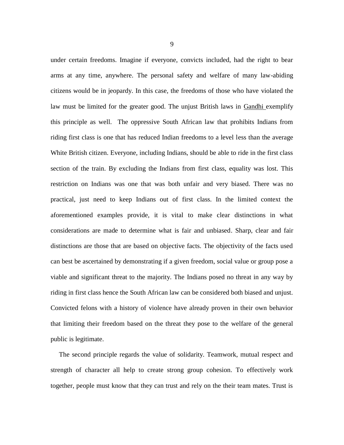under certain freedoms. Imagine if everyone, convicts included, had the right to bear arms at any time, anywhere. The personal safety and welfare of many law-abiding citizens would be in jeopardy. In this case, the freedoms of those who have violated the law must be limited for the greater good. The unjust British laws in Gandhi exemplify this principle as well. The oppressive South African law that prohibits Indians from riding first class is one that has reduced Indian freedoms to a level less than the average White British citizen. Everyone, including Indians, should be able to ride in the first class section of the train. By excluding the Indians from first class, equality was lost. This restriction on Indians was one that was both unfair and very biased. There was no practical, just need to keep Indians out of first class. In the limited context the aforementioned examples provide, it is vital to make clear distinctions in what considerations are made to determine what is fair and unbiased. Sharp, clear and fair distinctions are those that are based on objective facts. The objectivity of the facts used can best be ascertained by demonstrating if a given freedom, social value or group pose a viable and significant threat to the majority. The Indians posed no threat in any way by riding in first class hence the South African law can be considered both biased and unjust. Convicted felons with a history of violence have already proven in their own behavior that limiting their freedom based on the threat they pose to the welfare of the general public is legitimate.

 The second principle regards the value of solidarity. Teamwork, mutual respect and strength of character all help to create strong group cohesion. To effectively work together, people must know that they can trust and rely on the their team mates. Trust is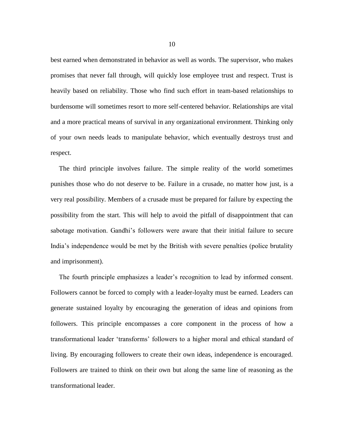best earned when demonstrated in behavior as well as words. The supervisor, who makes promises that never fall through, will quickly lose employee trust and respect. Trust is heavily based on reliability. Those who find such effort in team-based relationships to burdensome will sometimes resort to more self-centered behavior. Relationships are vital and a more practical means of survival in any organizational environment. Thinking only of your own needs leads to manipulate behavior, which eventually destroys trust and respect.

 The third principle involves failure. The simple reality of the world sometimes punishes those who do not deserve to be. Failure in a crusade, no matter how just, is a very real possibility. Members of a crusade must be prepared for failure by expecting the possibility from the start. This will help to avoid the pitfall of disappointment that can sabotage motivation. Gandhi's followers were aware that their initial failure to secure India's independence would be met by the British with severe penalties (police brutality and imprisonment).

 The fourth principle emphasizes a leader's recognition to lead by informed consent. Followers cannot be forced to comply with a leader-loyalty must be earned. Leaders can generate sustained loyalty by encouraging the generation of ideas and opinions from followers. This principle encompasses a core component in the process of how a transformational leader 'transforms' followers to a higher moral and ethical standard of living. By encouraging followers to create their own ideas, independence is encouraged. Followers are trained to think on their own but along the same line of reasoning as the transformational leader.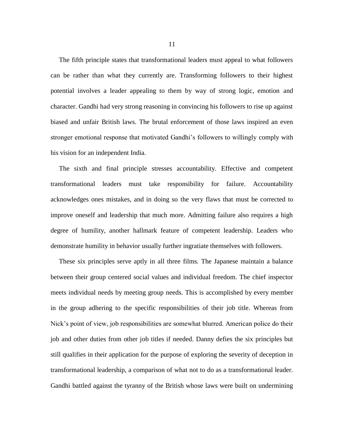The fifth principle states that transformational leaders must appeal to what followers can be rather than what they currently are. Transforming followers to their highest potential involves a leader appealing to them by way of strong logic, emotion and character. Gandhi had very strong reasoning in convincing his followers to rise up against biased and unfair British laws. The brutal enforcement of those laws inspired an even stronger emotional response that motivated Gandhi's followers to willingly comply with his vision for an independent India.

 The sixth and final principle stresses accountability. Effective and competent transformational leaders must take responsibility for failure. Accountability acknowledges ones mistakes, and in doing so the very flaws that must be corrected to improve oneself and leadership that much more. Admitting failure also requires a high degree of humility, another hallmark feature of competent leadership. Leaders who demonstrate humility in behavior usually further ingratiate themselves with followers.

 These six principles serve aptly in all three films. The Japanese maintain a balance between their group centered social values and individual freedom. The chief inspector meets individual needs by meeting group needs. This is accomplished by every member in the group adhering to the specific responsibilities of their job title. Whereas from Nick's point of view, job responsibilities are somewhat blurred. American police do their job and other duties from other job titles if needed. Danny defies the six principles but still qualifies in their application for the purpose of exploring the severity of deception in transformational leadership, a comparison of what not to do as a transformational leader. Gandhi battled against the tyranny of the British whose laws were built on undermining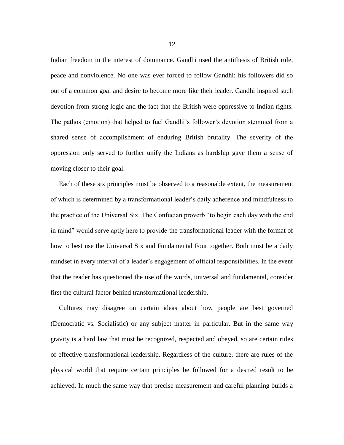Indian freedom in the interest of dominance. Gandhi used the antithesis of British rule, peace and nonviolence. No one was ever forced to follow Gandhi; his followers did so out of a common goal and desire to become more like their leader. Gandhi inspired such devotion from strong logic and the fact that the British were oppressive to Indian rights. The pathos (emotion) that helped to fuel Gandhi's follower's devotion stemmed from a shared sense of accomplishment of enduring British brutality. The severity of the oppression only served to further unify the Indians as hardship gave them a sense of moving closer to their goal.

 Each of these six principles must be observed to a reasonable extent, the measurement of which is determined by a transformational leader's daily adherence and mindfulness to the practice of the Universal Six. The Confucian proverb "to begin each day with the end in mind" would serve aptly here to provide the transformational leader with the format of how to best use the Universal Six and Fundamental Four together. Both must be a daily mindset in every interval of a leader's engagement of official responsibilities. In the event that the reader has questioned the use of the words, universal and fundamental, consider first the cultural factor behind transformational leadership.

 Cultures may disagree on certain ideas about how people are best governed (Democratic vs. Socialistic) or any subject matter in particular. But in the same way gravity is a hard law that must be recognized, respected and obeyed, so are certain rules of effective transformational leadership. Regardless of the culture, there are rules of the physical world that require certain principles be followed for a desired result to be achieved. In much the same way that precise measurement and careful planning builds a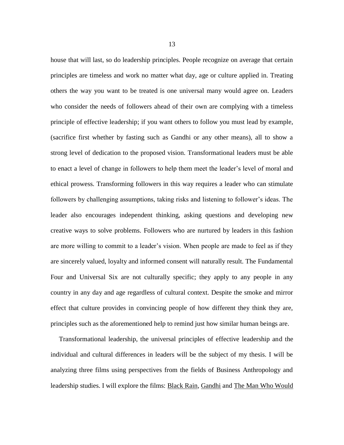house that will last, so do leadership principles. People recognize on average that certain principles are timeless and work no matter what day, age or culture applied in. Treating others the way you want to be treated is one universal many would agree on. Leaders who consider the needs of followers ahead of their own are complying with a timeless principle of effective leadership; if you want others to follow you must lead by example, (sacrifice first whether by fasting such as Gandhi or any other means), all to show a strong level of dedication to the proposed vision. Transformational leaders must be able to enact a level of change in followers to help them meet the leader's level of moral and ethical prowess. Transforming followers in this way requires a leader who can stimulate followers by challenging assumptions, taking risks and listening to follower's ideas. The leader also encourages independent thinking, asking questions and developing new creative ways to solve problems. Followers who are nurtured by leaders in this fashion are more willing to commit to a leader's vision. When people are made to feel as if they are sincerely valued, loyalty and informed consent will naturally result. The Fundamental Four and Universal Six are not culturally specific; they apply to any people in any country in any day and age regardless of cultural context. Despite the smoke and mirror effect that culture provides in convincing people of how different they think they are, principles such as the aforementioned help to remind just how similar human beings are.

 Transformational leadership, the universal principles of effective leadership and the individual and cultural differences in leaders will be the subject of my thesis. I will be analyzing three films using perspectives from the fields of Business Anthropology and leadership studies. I will explore the films: Black Rain, Gandhi and The Man Who Would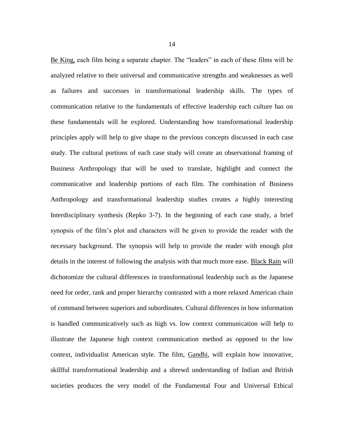Be King, each film being a separate chapter. The "leaders" in each of these films will be analyzed relative to their universal and communicative strengths and weaknesses as well as failures and successes in transformational leadership skills. The types of communication relative to the fundamentals of effective leadership each culture has on these fundamentals will be explored. Understanding how transformational leadership principles apply will help to give shape to the previous concepts discussed in each case study. The cultural portions of each case study will create an observational framing of Business Anthropology that will be used to translate, highlight and connect the communicative and leadership portions of each film. The combination of Business Anthropology and transformational leadership studies creates a highly interesting Interdisciplinary synthesis (Repko 3-7). In the beginning of each case study, a brief synopsis of the film's plot and characters will be given to provide the reader with the necessary background. The synopsis will help to provide the reader with enough plot details in the interest of following the analysis with that much more ease. Black Rain will dichotomize the cultural differences in transformational leadership such as the Japanese need for order, rank and proper hierarchy contrasted with a more relaxed American chain of command between superiors and subordinates. Cultural differences in how information is handled communicatively such as high vs. low context communication will help to illustrate the Japanese high context communication method as opposed to the low context, individualist American style. The film, Gandhi, will explain how innovative, skillful transformational leadership and a shrewd understanding of Indian and British societies produces the very model of the Fundamental Four and Universal Ethical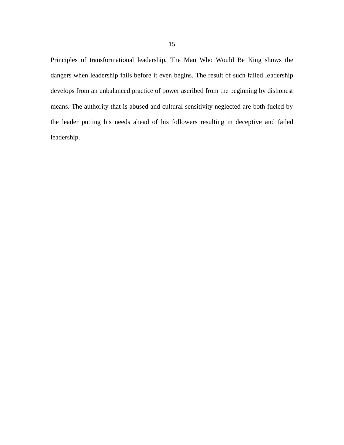Principles of transformational leadership. The Man Who Would Be King shows the dangers when leadership fails before it even begins. The result of such failed leadership develops from an unbalanced practice of power ascribed from the beginning by dishonest means. The authority that is abused and cultural sensitivity neglected are both fueled by the leader putting his needs ahead of his followers resulting in deceptive and failed leadership.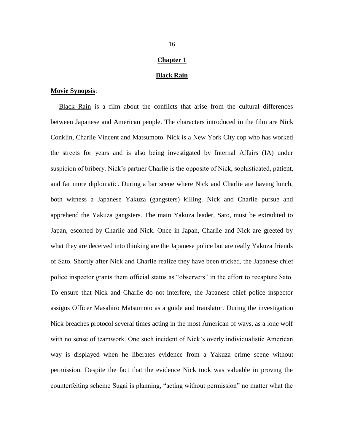### **Chapter 1**

#### **Black Rain**

### **Movie Synopsis**:

 Black Rain is a film about the conflicts that arise from the cultural differences between Japanese and American people. The characters introduced in the film are Nick Conklin, Charlie Vincent and Matsumoto. Nick is a New York City cop who has worked the streets for years and is also being investigated by Internal Affairs (IA) under suspicion of bribery. Nick's partner Charlie is the opposite of Nick, sophisticated, patient, and far more diplomatic. During a bar scene where Nick and Charlie are having lunch, both witness a Japanese Yakuza (gangsters) killing. Nick and Charlie pursue and apprehend the Yakuza gangsters. The main Yakuza leader, Sato, must be extradited to Japan, escorted by Charlie and Nick. Once in Japan, Charlie and Nick are greeted by what they are deceived into thinking are the Japanese police but are really Yakuza friends of Sato. Shortly after Nick and Charlie realize they have been tricked, the Japanese chief police inspector grants them official status as "observers" in the effort to recapture Sato. To ensure that Nick and Charlie do not interfere, the Japanese chief police inspector assigns Officer Masahiro Matsumoto as a guide and translator. During the investigation Nick breaches protocol several times acting in the most American of ways, as a lone wolf with no sense of teamwork. One such incident of Nick's overly individualistic American way is displayed when he liberates evidence from a Yakuza crime scene without permission. Despite the fact that the evidence Nick took was valuable in proving the counterfeiting scheme Sugai is planning, "acting without permission" no matter what the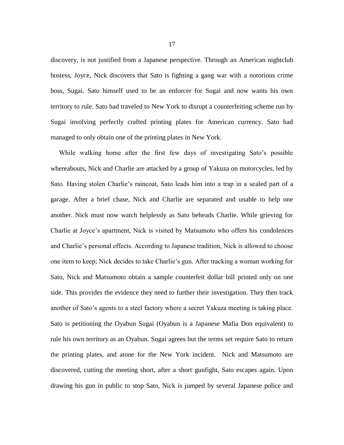discovery, is not justified from a Japanese perspective. Through an American nightclub hostess, Joyce, Nick discovers that Sato is fighting a gang war with a notorious crime boss, Sugai. Sato himself used to be an enforcer for Sugai and now wants his own territory to rule. Sato had traveled to New York to disrupt a [counterfeiting](http://www.bookrags.com/Counterfeit#Counterfeiting_of_money) scheme run by Sugai involving perfectly crafted printing plates for American currency. Sato had managed to only obtain one of the printing plates in New York.

 While walking home after the first few days of investigating Sato's possible whereabouts, Nick and Charlie are attacked by a group of Yakuza on motorcycles, led by Sato. Having stolen Charlie's raincoat, Sato leads him into a trap in a sealed part of a garage. After a brief chase, Nick and Charlie are separated and unable to help one another. Nick must now watch helplessly as Sato beheads Charlie. While grieving for Charlie at Joyce's apartment, Nick is visited by Matsumoto who offers his condolences and Charlie's personal effects. According to Japanese tradition, Nick is allowed to choose one item to keep; Nick decides to take Charlie's gun. After tracking a woman working for Sato, Nick and Matsumoto obtain a sample counterfeit dollar bill printed only on one side. This provides the evidence they need to further their investigation. They then track another of Sato's agents to a steel factory where a secret Yakuza meeting is taking place. Sato is petitioning the Oyabun Sugai (Oyabun is a Japanese Mafia Don equivalent) to rule his own territory as an Oyabun. Sugai agrees but the terms set require Sato to return the printing plates, and atone for the New York incident. Nick and Matsumoto are discovered, cutting the meeting short, after a short gunfight, Sato escapes again. Upon drawing his gun in public to stop Sato, Nick is jumped by several Japanese police and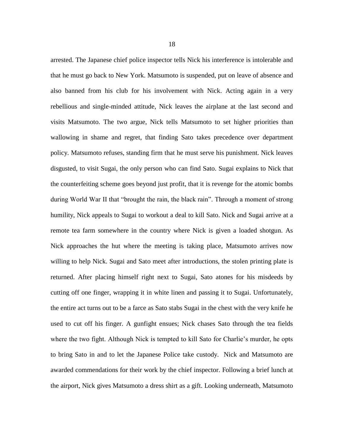arrested. The Japanese chief police inspector tells Nick his interference is intolerable and that he must go back to New York. Matsumoto is suspended, put on leave of absence and also banned from his club for his involvement with Nick. Acting again in a very rebellious and single-minded attitude, Nick leaves the airplane at the last second and visits Matsumoto. The two argue, Nick tells Matsumoto to set higher priorities than wallowing in shame and regret, that finding Sato takes precedence over department policy. Matsumoto refuses, standing firm that he must serve his punishment. Nick leaves disgusted, to visit Sugai, the only person who can find Sato. Sugai explains to Nick that the counterfeiting scheme goes beyond just profit, that it is revenge for the atomic bombs during World War II that "brought the rain, the black rain". Through a moment of strong humility, Nick appeals to Sugai to workout a deal to kill Sato. Nick and Sugai arrive at a remote tea farm somewhere in the country where Nick is given a loaded shotgun. As Nick approaches the hut where the meeting is taking place, Matsumoto arrives now willing to help Nick. Sugai and Sato meet after introductions, the stolen printing plate is returned. After placing himself right next to Sugai, Sato atones for his misdeeds by cutting off one finger, wrapping it in white linen and passing it to Sugai. Unfortunately, the entire act turns out to be a farce as Sato stabs Sugai in the chest with the very knife he used to cut off his finger. A gunfight ensues; Nick chases Sato through the tea fields where the two fight. Although Nick is tempted to kill Sato for Charlie's murder, he opts to bring Sato in and to let the Japanese Police take custody. Nick and Matsumoto are awarded commendations for their work by the chief inspector. Following a brief lunch at the airport, Nick gives Matsumoto a dress shirt as a gift. Looking underneath, Matsumoto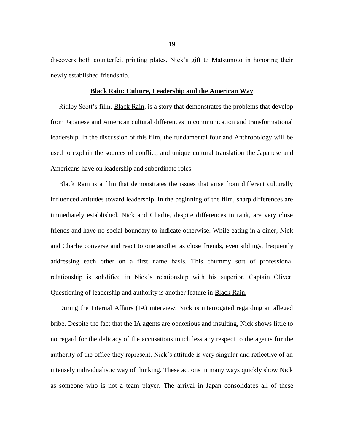discovers both counterfeit printing plates, Nick's gift to Matsumoto in honoring their newly established friendship.

### **Black Rain: Culture, Leadership and the American Way**

 Ridley Scott's film, Black Rain, is a story that demonstrates the problems that develop from Japanese and American cultural differences in communication and transformational leadership. In the discussion of this film, the fundamental four and Anthropology will be used to explain the sources of conflict, and unique cultural translation the Japanese and Americans have on leadership and subordinate roles.

 Black Rain is a film that demonstrates the issues that arise from different culturally influenced attitudes toward leadership. In the beginning of the film, sharp differences are immediately established. Nick and Charlie, despite differences in rank, are very close friends and have no social boundary to indicate otherwise. While eating in a diner, Nick and Charlie converse and react to one another as close friends, even siblings, frequently addressing each other on a first name basis. This chummy sort of professional relationship is solidified in Nick's relationship with his superior, Captain Oliver. Questioning of leadership and authority is another feature in Black Rain.

 During the Internal Affairs (IA) interview, Nick is interrogated regarding an alleged bribe. Despite the fact that the IA agents are obnoxious and insulting, Nick shows little to no regard for the delicacy of the accusations much less any respect to the agents for the authority of the office they represent. Nick's attitude is very singular and reflective of an intensely individualistic way of thinking. These actions in many ways quickly show Nick as someone who is not a team player. The arrival in Japan consolidates all of these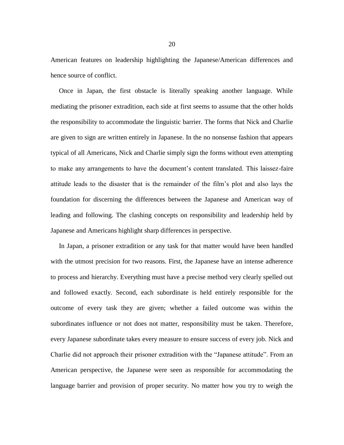American features on leadership highlighting the Japanese/American differences and hence source of conflict.

 Once in Japan, the first obstacle is literally speaking another language. While mediating the prisoner extradition, each side at first seems to assume that the other holds the responsibility to accommodate the linguistic barrier. The forms that Nick and Charlie are given to sign are written entirely in Japanese. In the no nonsense fashion that appears typical of all Americans, Nick and Charlie simply sign the forms without even attempting to make any arrangements to have the document's content translated. This laissez-faire attitude leads to the disaster that is the remainder of the film's plot and also lays the foundation for discerning the differences between the Japanese and American way of leading and following. The clashing concepts on responsibility and leadership held by Japanese and Americans highlight sharp differences in perspective.

 In Japan, a prisoner extradition or any task for that matter would have been handled with the utmost precision for two reasons. First, the Japanese have an intense adherence to process and hierarchy. Everything must have a precise method very clearly spelled out and followed exactly. Second, each subordinate is held entirely responsible for the outcome of every task they are given; whether a failed outcome was within the subordinates influence or not does not matter, responsibility must be taken. Therefore, every Japanese subordinate takes every measure to ensure success of every job. Nick and Charlie did not approach their prisoner extradition with the "Japanese attitude". From an American perspective, the Japanese were seen as responsible for accommodating the language barrier and provision of proper security. No matter how you try to weigh the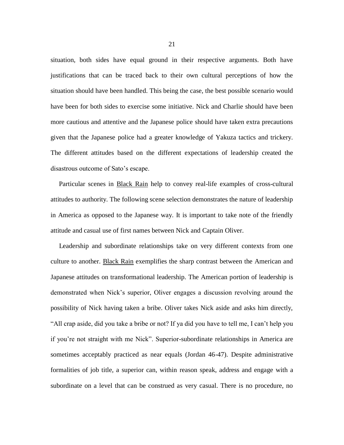situation, both sides have equal ground in their respective arguments. Both have justifications that can be traced back to their own cultural perceptions of how the situation should have been handled. This being the case, the best possible scenario would have been for both sides to exercise some initiative. Nick and Charlie should have been more cautious and attentive and the Japanese police should have taken extra precautions given that the Japanese police had a greater knowledge of Yakuza tactics and trickery. The different attitudes based on the different expectations of leadership created the disastrous outcome of Sato's escape.

 Particular scenes in Black Rain help to convey real-life examples of cross-cultural attitudes to authority. The following scene selection demonstrates the nature of leadership in America as opposed to the Japanese way. It is important to take note of the friendly attitude and casual use of first names between Nick and Captain Oliver.

Leadership and subordinate relationships take on very different contexts from one culture to another. Black Rain exemplifies the sharp contrast between the American and Japanese attitudes on transformational leadership. The American portion of leadership is demonstrated when Nick's superior, Oliver engages a discussion revolving around the possibility of Nick having taken a bribe. Oliver takes Nick aside and asks him directly, "All crap aside, did you take a bribe or not? If ya did you have to tell me, I can't help you if you're not straight with me Nick". Superior-subordinate relationships in America are sometimes acceptably practiced as near equals (Jordan 46-47). Despite administrative formalities of job title, a superior can, within reason speak, address and engage with a subordinate on a level that can be construed as very casual. There is no procedure, no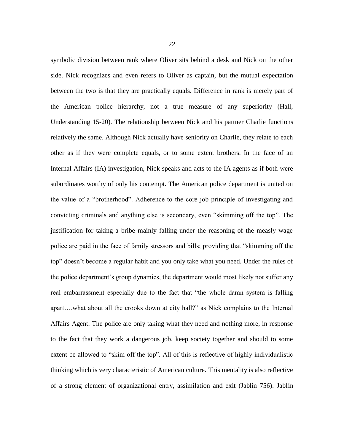symbolic division between rank where Oliver sits behind a desk and Nick on the other side. Nick recognizes and even refers to Oliver as captain, but the mutual expectation between the two is that they are practically equals. Difference in rank is merely part of the American police hierarchy, not a true measure of any superiority (Hall, Understanding 15-20). The relationship between Nick and his partner Charlie functions relatively the same. Although Nick actually have seniority on Charlie, they relate to each other as if they were complete equals, or to some extent brothers. In the face of an Internal Affairs (IA) investigation, Nick speaks and acts to the IA agents as if both were subordinates worthy of only his contempt. The American police department is united on the value of a "brotherhood". Adherence to the core job principle of investigating and convicting criminals and anything else is secondary, even "skimming off the top". The justification for taking a bribe mainly falling under the reasoning of the measly wage police are paid in the face of family stressors and bills; providing that "skimming off the top" doesn't become a regular habit and you only take what you need. Under the rules of the police department's group dynamics, the department would most likely not suffer any real embarrassment especially due to the fact that "the whole damn system is falling apart….what about all the crooks down at city hall?" as Nick complains to the Internal Affairs Agent. The police are only taking what they need and nothing more, in response to the fact that they work a dangerous job, keep society together and should to some extent be allowed to "skim off the top". All of this is reflective of highly individualistic thinking which is very characteristic of American culture. This mentality is also reflective of a strong element of organizational entry, assimilation and exit (Jablin 756). Jablin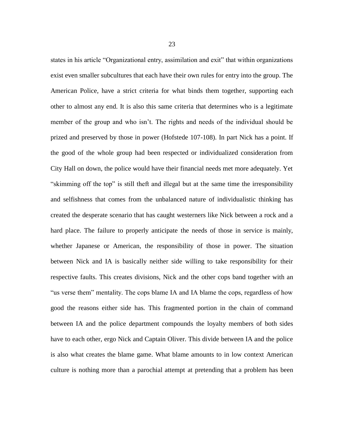states in his article "Organizational entry, assimilation and exit" that within organizations exist even smaller subcultures that each have their own rules for entry into the group. The American Police, have a strict criteria for what binds them together, supporting each other to almost any end. It is also this same criteria that determines who is a legitimate member of the group and who isn't. The rights and needs of the individual should be prized and preserved by those in power (Hofstede 107-108). In part Nick has a point. If the good of the whole group had been respected or individualized consideration from City Hall on down, the police would have their financial needs met more adequately. Yet "skimming off the top" is still theft and illegal but at the same time the irresponsibility and selfishness that comes from the unbalanced nature of individualistic thinking has created the desperate scenario that has caught westerners like Nick between a rock and a hard place. The failure to properly anticipate the needs of those in service is mainly, whether Japanese or American, the responsibility of those in power. The situation between Nick and IA is basically neither side willing to take responsibility for their respective faults. This creates divisions, Nick and the other cops band together with an "us verse them" mentality. The cops blame IA and IA blame the cops, regardless of how good the reasons either side has. This fragmented portion in the chain of command between IA and the police department compounds the loyalty members of both sides have to each other, ergo Nick and Captain Oliver. This divide between IA and the police is also what creates the blame game. What blame amounts to in low context American culture is nothing more than a parochial attempt at pretending that a problem has been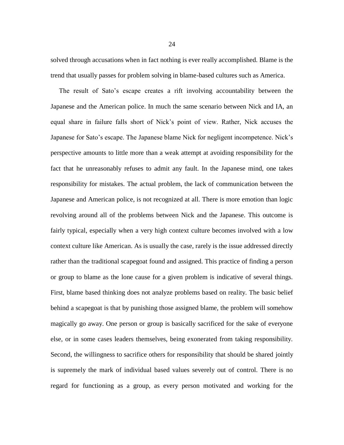solved through accusations when in fact nothing is ever really accomplished. Blame is the trend that usually passes for problem solving in blame-based cultures such as America.

 The result of Sato's escape creates a rift involving accountability between the Japanese and the American police. In much the same scenario between Nick and IA, an equal share in failure falls short of Nick's point of view. Rather, Nick accuses the Japanese for Sato's escape. The Japanese blame Nick for negligent incompetence. Nick's perspective amounts to little more than a weak attempt at avoiding responsibility for the fact that he unreasonably refuses to admit any fault. In the Japanese mind, one takes responsibility for mistakes. The actual problem, the lack of communication between the Japanese and American police, is not recognized at all. There is more emotion than logic revolving around all of the problems between Nick and the Japanese. This outcome is fairly typical, especially when a very high context culture becomes involved with a low context culture like American. As is usually the case, rarely is the issue addressed directly rather than the traditional scapegoat found and assigned. This practice of finding a person or group to blame as the lone cause for a given problem is indicative of several things. First, blame based thinking does not analyze problems based on reality. The basic belief behind a scapegoat is that by punishing those assigned blame, the problem will somehow magically go away. One person or group is basically sacrificed for the sake of everyone else, or in some cases leaders themselves, being exonerated from taking responsibility. Second, the willingness to sacrifice others for responsibility that should be shared jointly is supremely the mark of individual based values severely out of control. There is no regard for functioning as a group, as every person motivated and working for the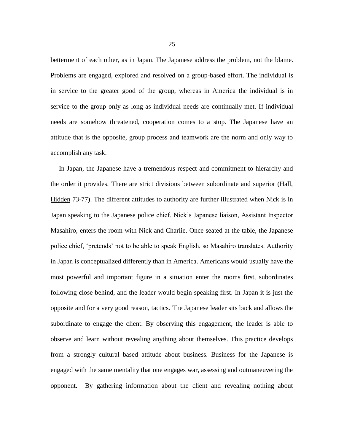betterment of each other, as in Japan. The Japanese address the problem, not the blame. Problems are engaged, explored and resolved on a group-based effort. The individual is in service to the greater good of the group, whereas in America the individual is in service to the group only as long as individual needs are continually met. If individual needs are somehow threatened, cooperation comes to a stop. The Japanese have an attitude that is the opposite, group process and teamwork are the norm and only way to accomplish any task.

 In Japan, the Japanese have a tremendous respect and commitment to hierarchy and the order it provides. There are strict divisions between subordinate and superior (Hall, Hidden 73-77). The different attitudes to authority are further illustrated when Nick is in Japan speaking to the Japanese police chief. Nick's Japanese liaison, Assistant Inspector Masahiro, enters the room with Nick and Charlie. Once seated at the table, the Japanese police chief, 'pretends' not to be able to speak English, so Masahiro translates. Authority in Japan is conceptualized differently than in America. Americans would usually have the most powerful and important figure in a situation enter the rooms first, subordinates following close behind, and the leader would begin speaking first. In Japan it is just the opposite and for a very good reason, tactics. The Japanese leader sits back and allows the subordinate to engage the client. By observing this engagement, the leader is able to observe and learn without revealing anything about themselves. This practice develops from a strongly cultural based attitude about business. Business for the Japanese is engaged with the same mentality that one engages war, assessing and outmaneuvering the opponent. By gathering information about the client and revealing nothing about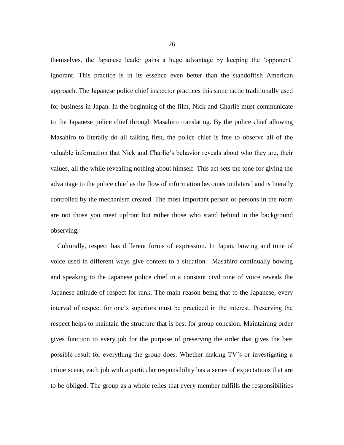themselves, the Japanese leader gains a huge advantage by keeping the 'opponent' ignorant. This practice is in its essence even better than the standoffish American approach. The Japanese police chief inspector practices this same tactic traditionally used for business in Japan. In the beginning of the film, Nick and Charlie must communicate to the Japanese police chief through Masahiro translating. By the police chief allowing Masahiro to literally do all talking first, the police chief is free to observe all of the valuable information that Nick and Charlie's behavior reveals about who they are, their values, all the while revealing nothing about himself. This act sets the tone for giving the advantage to the police chief as the flow of information becomes unilateral and is literally controlled by the mechanism created. The most important person or persons in the room are not those you meet upfront but rather those who stand behind in the background observing.

 Culturally, respect has different forms of expression. In Japan, bowing and tone of voice used in different ways give context to a situation. Masahiro continually bowing and speaking to the Japanese police chief in a constant civil tone of voice reveals the Japanese attitude of respect for rank. The main reason being that to the Japanese, every interval of respect for one's superiors must be practiced in the interest. Preserving the respect helps to maintain the structure that is best for group cohesion. Maintaining order gives function to every job for the purpose of preserving the order that gives the best possible result for everything the group does. Whether making TV's or investigating a crime scene, each job with a particular responsibility has a series of expectations that are to be obliged. The group as a whole relies that every member fulfills the responsibilities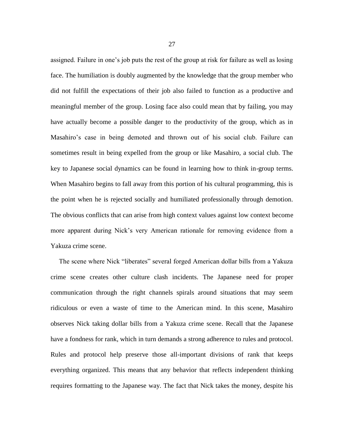assigned. Failure in one's job puts the rest of the group at risk for failure as well as losing face. The humiliation is doubly augmented by the knowledge that the group member who did not fulfill the expectations of their job also failed to function as a productive and meaningful member of the group. Losing face also could mean that by failing, you may have actually become a possible danger to the productivity of the group, which as in Masahiro's case in being demoted and thrown out of his social club. Failure can sometimes result in being expelled from the group or like Masahiro, a social club. The key to Japanese social dynamics can be found in learning how to think in-group terms. When Masahiro begins to fall away from this portion of his cultural programming, this is the point when he is rejected socially and humiliated professionally through demotion. The obvious conflicts that can arise from high context values against low context become more apparent during Nick's very American rationale for removing evidence from a Yakuza crime scene.

 The scene where Nick "liberates" several forged American dollar bills from a Yakuza crime scene creates other culture clash incidents. The Japanese need for proper communication through the right channels spirals around situations that may seem ridiculous or even a waste of time to the American mind. In this scene, Masahiro observes Nick taking dollar bills from a Yakuza crime scene. Recall that the Japanese have a fondness for rank, which in turn demands a strong adherence to rules and protocol. Rules and protocol help preserve those all-important divisions of rank that keeps everything organized. This means that any behavior that reflects independent thinking requires formatting to the Japanese way. The fact that Nick takes the money, despite his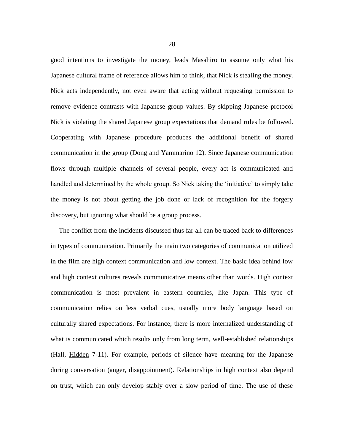good intentions to investigate the money, leads Masahiro to assume only what his Japanese cultural frame of reference allows him to think, that Nick is stealing the money. Nick acts independently, not even aware that acting without requesting permission to remove evidence contrasts with Japanese group values. By skipping Japanese protocol Nick is violating the shared Japanese group expectations that demand rules be followed. Cooperating with Japanese procedure produces the additional benefit of shared communication in the group (Dong and Yammarino 12). Since Japanese communication flows through multiple channels of several people, every act is communicated and handled and determined by the whole group. So Nick taking the 'initiative' to simply take the money is not about getting the job done or lack of recognition for the forgery discovery, but ignoring what should be a group process.

 The conflict from the incidents discussed thus far all can be traced back to differences in types of communication. Primarily the main two categories of communication utilized in the film are high context communication and low context. The basic idea behind low and high context cultures reveals communicative means other than words. High context communication is most prevalent in eastern countries, like Japan. This type of communication relies on less verbal cues, usually more body language based on culturally shared expectations. For instance, there is more internalized understanding of what is communicated which results only from long term, well-established relationships (Hall, Hidden 7-11). For example, periods of silence have meaning for the Japanese during conversation (anger, disappointment). Relationships in high context also depend on trust, which can only develop stably over a slow period of time. The use of these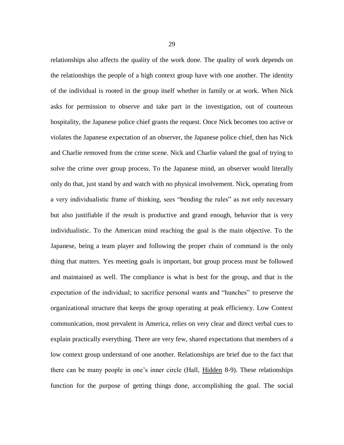relationships also affects the quality of the work done. The quality of work depends on the relationships the people of a high context group have with one another. The identity of the individual is rooted in the group itself whether in family or at work. When Nick asks for permission to observe and take part in the investigation, out of courteous hospitality, the Japanese police chief grants the request. Once Nick becomes too active or violates the Japanese expectation of an observer, the Japanese police chief, then has Nick and Charlie removed from the crime scene. Nick and Charlie valued the goal of trying to solve the crime over group process. To the Japanese mind, an observer would literally only do that, just stand by and watch with no physical involvement. Nick, operating from a very individualistic frame of thinking, sees "bending the rules" as not only necessary but also justifiable if the result is productive and grand enough, behavior that is very individualistic. To the American mind reaching the goal is the main objective. To the Japanese, being a team player and following the proper chain of command is the only thing that matters. Yes meeting goals is important, but group process must be followed and maintained as well. The compliance is what is best for the group, and that is the expectation of the individual; to sacrifice personal wants and "hunches" to preserve the organizational structure that keeps the group operating at peak efficiency. Low Context communication, most prevalent in America, relies on very clear and direct verbal cues to explain practically everything. There are very few, shared expectations that members of a low context group understand of one another. Relationships are brief due to the fact that there can be many people in one's inner circle (Hall, Hidden 8-9). These relationships function for the purpose of getting things done, accomplishing the goal. The social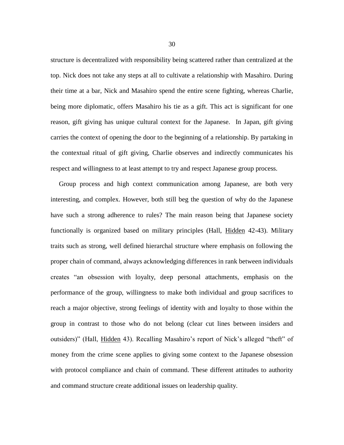structure is decentralized with responsibility being scattered rather than centralized at the top. Nick does not take any steps at all to cultivate a relationship with Masahiro. During their time at a bar, Nick and Masahiro spend the entire scene fighting, whereas Charlie, being more diplomatic, offers Masahiro his tie as a gift. This act is significant for one reason, gift giving has unique cultural context for the Japanese. In Japan, gift giving carries the context of opening the door to the beginning of a relationship. By partaking in the contextual ritual of gift giving, Charlie observes and indirectly communicates his respect and willingness to at least attempt to try and respect Japanese group process.

 Group process and high context communication among Japanese, are both very interesting, and complex. However, both still beg the question of why do the Japanese have such a strong adherence to rules? The main reason being that Japanese society functionally is organized based on military principles (Hall, Hidden 42-43). Military traits such as strong, well defined hierarchal structure where emphasis on following the proper chain of command, always acknowledging differences in rank between individuals creates "an obsession with loyalty, deep personal attachments, emphasis on the performance of the group, willingness to make both individual and group sacrifices to reach a major objective, strong feelings of identity with and loyalty to those within the group in contrast to those who do not belong (clear cut lines between insiders and outsiders)" (Hall, Hidden 43). Recalling Masahiro's report of Nick's alleged "theft" of money from the crime scene applies to giving some context to the Japanese obsession with protocol compliance and chain of command. These different attitudes to authority and command structure create additional issues on leadership quality.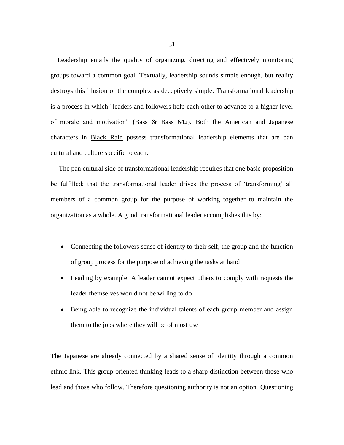Leadership entails the quality of organizing, directing and effectively monitoring groups toward a common goal. Textually, leadership sounds simple enough, but reality destroys this illusion of the complex as deceptively simple. Transformational leadership is a process in which "leaders and followers help each other to advance to a higher level of morale and motivation" (Bass & Bass 642). Both the American and Japanese characters in Black Rain possess transformational leadership elements that are pan cultural and culture specific to each.

 The pan cultural side of transformational leadership requires that one basic proposition be fulfilled; that the transformational leader drives the process of 'transforming' all members of a common group for the purpose of working together to maintain the organization as a whole. A good transformational leader accomplishes this by:

- Connecting the followers sense of identity to their self, the group and the function of group process for the purpose of achieving the tasks at hand
- Leading by example. A leader cannot expect others to comply with requests the leader themselves would not be willing to do
- Being able to recognize the individual talents of each group member and assign them to the jobs where they will be of most use

The Japanese are already connected by a shared sense of identity through a common ethnic link. This group oriented thinking leads to a sharp distinction between those who lead and those who follow. Therefore questioning authority is not an option. Questioning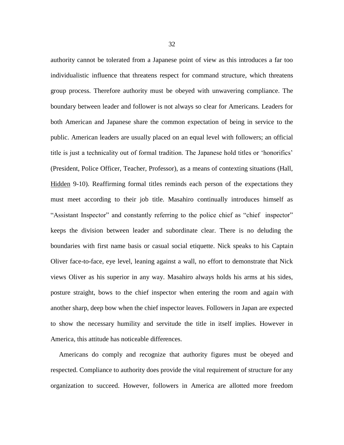authority cannot be tolerated from a Japanese point of view as this introduces a far too individualistic influence that threatens respect for command structure, which threatens group process. Therefore authority must be obeyed with unwavering compliance. The boundary between leader and follower is not always so clear for Americans. Leaders for both American and Japanese share the common expectation of being in service to the public. American leaders are usually placed on an equal level with followers; an official title is just a technicality out of formal tradition. The Japanese hold titles or 'honorifics' (President, Police Officer, Teacher, Professor), as a means of contexting situations (Hall, Hidden 9-10). Reaffirming formal titles reminds each person of the expectations they must meet according to their job title. Masahiro continually introduces himself as "Assistant Inspector" and constantly referring to the police chief as "chief inspector" keeps the division between leader and subordinate clear. There is no deluding the boundaries with first name basis or casual social etiquette. Nick speaks to his Captain Oliver face-to-face, eye level, leaning against a wall, no effort to demonstrate that Nick views Oliver as his superior in any way. Masahiro always holds his arms at his sides, posture straight, bows to the chief inspector when entering the room and again with another sharp, deep bow when the chief inspector leaves. Followers in Japan are expected to show the necessary humility and servitude the title in itself implies. However in America, this attitude has noticeable differences.

 Americans do comply and recognize that authority figures must be obeyed and respected. Compliance to authority does provide the vital requirement of structure for any organization to succeed. However, followers in America are allotted more freedom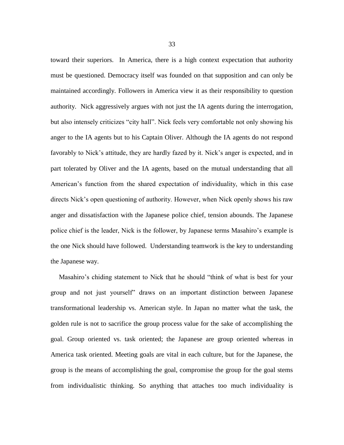toward their superiors. In America, there is a high context expectation that authority must be questioned. Democracy itself was founded on that supposition and can only be maintained accordingly. Followers in America view it as their responsibility to question authority. Nick aggressively argues with not just the IA agents during the interrogation, but also intensely criticizes "city hall". Nick feels very comfortable not only showing his anger to the IA agents but to his Captain Oliver. Although the IA agents do not respond favorably to Nick's attitude, they are hardly fazed by it. Nick's anger is expected, and in part tolerated by Oliver and the IA agents, based on the mutual understanding that all American's function from the shared expectation of individuality, which in this case directs Nick's open questioning of authority. However, when Nick openly shows his raw anger and dissatisfaction with the Japanese police chief, tension abounds. The Japanese police chief is the leader, Nick is the follower, by Japanese terms Masahiro's example is the one Nick should have followed. Understanding teamwork is the key to understanding the Japanese way.

 Masahiro's chiding statement to Nick that he should "think of what is best for your group and not just yourself" draws on an important distinction between Japanese transformational leadership vs. American style. In Japan no matter what the task, the golden rule is not to sacrifice the group process value for the sake of accomplishing the goal. Group oriented vs. task oriented; the Japanese are group oriented whereas in America task oriented. Meeting goals are vital in each culture, but for the Japanese, the group is the means of accomplishing the goal, compromise the group for the goal stems from individualistic thinking. So anything that attaches too much individuality is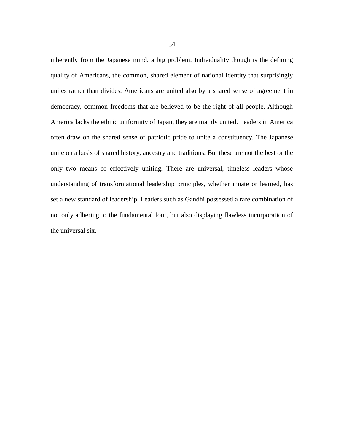inherently from the Japanese mind, a big problem. Individuality though is the defining quality of Americans, the common, shared element of national identity that surprisingly unites rather than divides. Americans are united also by a shared sense of agreement in democracy, common freedoms that are believed to be the right of all people. Although America lacks the ethnic uniformity of Japan, they are mainly united. Leaders in America often draw on the shared sense of patriotic pride to unite a constituency. The Japanese unite on a basis of shared history, ancestry and traditions. But these are not the best or the only two means of effectively uniting. There are universal, timeless leaders whose understanding of transformational leadership principles, whether innate or learned, has set a new standard of leadership. Leaders such as Gandhi possessed a rare combination of not only adhering to the fundamental four, but also displaying flawless incorporation of the universal six.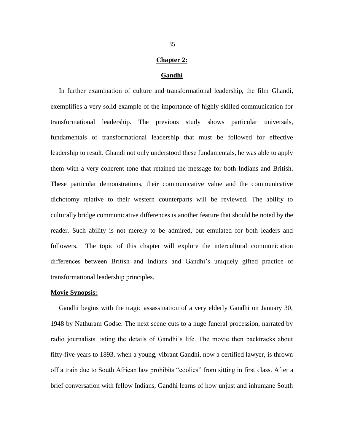### **Chapter 2:**

#### **Gandhi**

 In further examination of culture and transformational leadership, the film Ghandi*,* exemplifies a very solid example of the importance of highly skilled communication for transformational leadership. The previous study shows particular universals, fundamentals of transformational leadership that must be followed for effective leadership to result. Ghandi not only understood these fundamentals, he was able to apply them with a very coherent tone that retained the message for both Indians and British. These particular demonstrations, their communicative value and the communicative dichotomy relative to their western counterparts will be reviewed. The ability to culturally bridge communicative differences is another feature that should be noted by the reader. Such ability is not merely to be admired, but emulated for both leaders and followers. The topic of this chapter will explore the intercultural communication differences between British and Indians and Gandhi's uniquely gifted practice of transformational leadership principles.

#### **Movie Synopsis:**

Gandhi begins with the tragic assassination of a very elderly Gandhi on January 30, 1948 by Nathuram Godse. The next scene cuts to a huge funeral procession, narrated by radio journalists listing the details of Gandhi's life. The movie then backtracks about fifty-five years to 1893, when a young, vibrant Gandhi, now a certified lawyer, is thrown off a train due to South African law prohibits "coolies" from sitting in first class. After a brief conversation with fellow Indians, Gandhi learns of how unjust and inhumane South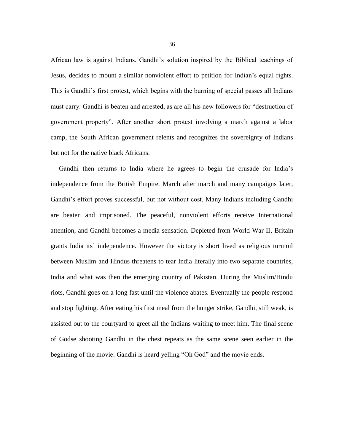African law is against Indians. Gandhi's solution inspired by the Biblical teachings of Jesus, decides to mount a similar nonviolent effort to petition for Indian's equal rights. This is Gandhi's first protest, which begins with the burning of special passes all Indians must carry. Gandhi is beaten and arrested, as are all his new followers for "destruction of government property". After another short protest involving a march against a labor camp, the South African government relents and recognizes the sovereignty of Indians but not for the native black Africans.

 Gandhi then returns to India where he agrees to begin the crusade for India's independence from the British Empire. March after march and many campaigns later, Gandhi's effort proves successful, but not without cost. Many Indians including Gandhi are beaten and imprisoned. The peaceful, nonviolent efforts receive International attention, and Gandhi becomes a media sensation. Depleted from World War II, Britain grants India its' independence. However the victory is short lived as religious turmoil between Muslim and Hindus threatens to tear India literally into two separate countries, India and what was then the emerging country of Pakistan. During the Muslim/Hindu riots, Gandhi goes on a long fast until the violence abates. Eventually the people respond and stop fighting. After eating his first meal from the hunger strike, Gandhi, still weak, is assisted out to the courtyard to greet all the Indians waiting to meet him. The final scene of Godse shooting Gandhi in the chest repeats as the same scene seen earlier in the beginning of the movie. Gandhi is heard yelling "Oh God" and the movie ends.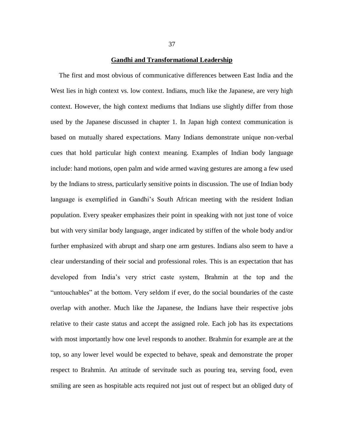#### **Gandhi and Transformational Leadership**

 The first and most obvious of communicative differences between East India and the West lies in high context vs. low context. Indians, much like the Japanese, are very high context. However, the high context mediums that Indians use slightly differ from those used by the Japanese discussed in chapter 1. In Japan high context communication is based on mutually shared expectations. Many Indians demonstrate unique non-verbal cues that hold particular high context meaning. Examples of Indian body language include: hand motions, open palm and wide armed waving gestures are among a few used by the Indians to stress, particularly sensitive points in discussion. The use of Indian body language is exemplified in Gandhi's South African meeting with the resident Indian population. Every speaker emphasizes their point in speaking with not just tone of voice but with very similar body language, anger indicated by stiffen of the whole body and/or further emphasized with abrupt and sharp one arm gestures. Indians also seem to have a clear understanding of their social and professional roles. This is an expectation that has developed from India's very strict caste system, Brahmin at the top and the "untouchables" at the bottom. Very seldom if ever, do the social boundaries of the caste overlap with another. Much like the Japanese, the Indians have their respective jobs relative to their caste status and accept the assigned role. Each job has its expectations with most importantly how one level responds to another. Brahmin for example are at the top, so any lower level would be expected to behave, speak and demonstrate the proper respect to Brahmin. An attitude of servitude such as pouring tea, serving food, even smiling are seen as hospitable acts required not just out of respect but an obliged duty of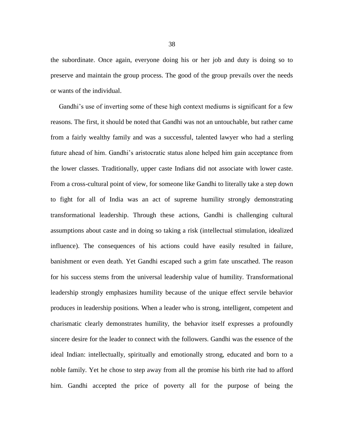the subordinate. Once again, everyone doing his or her job and duty is doing so to preserve and maintain the group process. The good of the group prevails over the needs or wants of the individual.

 Gandhi's use of inverting some of these high context mediums is significant for a few reasons. The first, it should be noted that Gandhi was not an untouchable, but rather came from a fairly wealthy family and was a successful, talented lawyer who had a sterling future ahead of him. Gandhi's aristocratic status alone helped him gain acceptance from the lower classes. Traditionally, upper caste Indians did not associate with lower caste. From a cross-cultural point of view, for someone like Gandhi to literally take a step down to fight for all of India was an act of supreme humility strongly demonstrating transformational leadership. Through these actions, Gandhi is challenging cultural assumptions about caste and in doing so taking a risk (intellectual stimulation, idealized influence). The consequences of his actions could have easily resulted in failure, banishment or even death. Yet Gandhi escaped such a grim fate unscathed. The reason for his success stems from the universal leadership value of humility. Transformational leadership strongly emphasizes humility because of the unique effect servile behavior produces in leadership positions. When a leader who is strong, intelligent, competent and charismatic clearly demonstrates humility, the behavior itself expresses a profoundly sincere desire for the leader to connect with the followers. Gandhi was the essence of the ideal Indian: intellectually, spiritually and emotionally strong, educated and born to a noble family. Yet he chose to step away from all the promise his birth rite had to afford him. Gandhi accepted the price of poverty all for the purpose of being the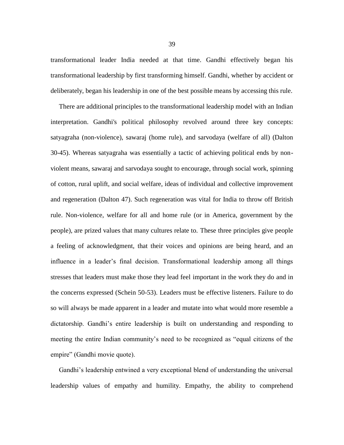transformational leader India needed at that time. Gandhi effectively began his transformational leadership by first transforming himself. Gandhi, whether by accident or deliberately, began his leadership in one of the best possible means by accessing this rule.

 There are additional principles to the transformational leadership model with an Indian interpretation. Gandhi's political philosophy revolved around three key concepts: satyagraha (non-violence), sawaraj (home rule), and sarvodaya (welfare of all) (Dalton 30-45). Whereas satyagraha was essentially a tactic of achieving political ends by nonviolent means, sawaraj and sarvodaya sought to encourage, through social work, spinning of cotton, rural [uplift,](http://www.answers.com/topic/uplift) and social welfare, ideas of individual and collective improvement and [regeneration](http://www.answers.com/topic/regeneration) (Dalton 47). Such regeneration was vital for India to throw off British rule. Non-violence, welfare for all and home rule (or in America, government by the people), are prized values that many cultures relate to. These three principles give people a feeling of acknowledgment, that their voices and opinions are being heard, and an influence in a leader's final decision. Transformational leadership among all things stresses that leaders must make those they lead feel important in the work they do and in the concerns expressed (Schein 50-53). Leaders must be effective listeners. Failure to do so will always be made apparent in a leader and mutate into what would more resemble a dictatorship. Gandhi's entire leadership is built on understanding and responding to meeting the entire Indian community's need to be recognized as "equal citizens of the empire" (Gandhi movie quote).

 Gandhi's leadership entwined a very exceptional blend of understanding the universal leadership values of empathy and humility. Empathy, the ability to comprehend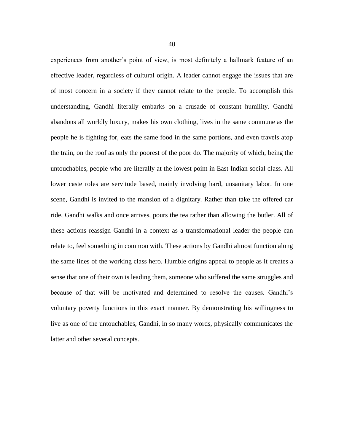experiences from another's point of view, is most definitely a hallmark feature of an effective leader, regardless of cultural origin. A leader cannot engage the issues that are of most concern in a society if they cannot relate to the people. To accomplish this understanding, Gandhi literally embarks on a crusade of constant humility. Gandhi abandons all worldly luxury, makes his own clothing, lives in the same commune as the people he is fighting for, eats the same food in the same portions, and even travels atop the train, on the roof as only the poorest of the poor do. The majority of which, being the untouchables, people who are literally at the lowest point in East Indian social class. All lower caste roles are servitude based, mainly involving hard, unsanitary labor. In one scene, Gandhi is invited to the mansion of a dignitary. Rather than take the offered car ride, Gandhi walks and once arrives, pours the tea rather than allowing the butler. All of these actions reassign Gandhi in a context as a transformational leader the people can relate to, feel something in common with. These actions by Gandhi almost function along the same lines of the working class hero. Humble origins appeal to people as it creates a sense that one of their own is leading them, someone who suffered the same struggles and because of that will be motivated and determined to resolve the causes. Gandhi's voluntary poverty functions in this exact manner. By demonstrating his willingness to live as one of the untouchables, Gandhi, in so many words, physically communicates the latter and other several concepts.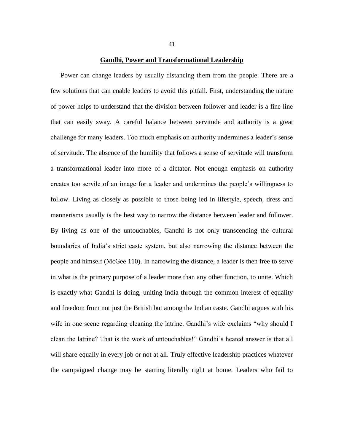#### **Gandhi, Power and Transformational Leadership**

 Power can change leaders by usually distancing them from the people. There are a few solutions that can enable leaders to avoid this pitfall. First, understanding the nature of power helps to understand that the division between follower and leader is a fine line that can easily sway. A careful balance between servitude and authority is a great challenge for many leaders. Too much emphasis on authority undermines a leader's sense of servitude. The absence of the humility that follows a sense of servitude will transform a transformational leader into more of a dictator. Not enough emphasis on authority creates too servile of an image for a leader and undermines the people's willingness to follow. Living as closely as possible to those being led in lifestyle, speech, dress and mannerisms usually is the best way to narrow the distance between leader and follower. By living as one of the untouchables, Gandhi is not only transcending the cultural boundaries of India's strict caste system, but also narrowing the distance between the people and himself (McGee 110). In narrowing the distance, a leader is then free to serve in what is the primary purpose of a leader more than any other function, to unite. Which is exactly what Gandhi is doing, uniting India through the common interest of equality and freedom from not just the British but among the Indian caste. Gandhi argues with his wife in one scene regarding cleaning the latrine. Gandhi's wife exclaims "why should I clean the latrine? That is the work of untouchables!" Gandhi's heated answer is that all will share equally in every job or not at all. Truly effective leadership practices whatever the campaigned change may be starting literally right at home. Leaders who fail to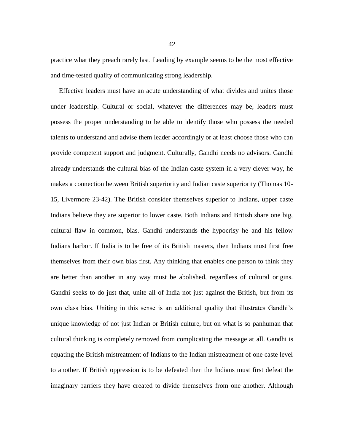practice what they preach rarely last. Leading by example seems to be the most effective and time-tested quality of communicating strong leadership.

 Effective leaders must have an acute understanding of what divides and unites those under leadership. Cultural or social, whatever the differences may be, leaders must possess the proper understanding to be able to identify those who possess the needed talents to understand and advise them leader accordingly or at least choose those who can provide competent support and judgment. Culturally, Gandhi needs no advisors. Gandhi already understands the cultural bias of the Indian caste system in a very clever way, he makes a connection between British superiority and Indian caste superiority (Thomas 10- 15, Livermore 23-42). The British consider themselves superior to Indians, upper caste Indians believe they are superior to lower caste. Both Indians and British share one big, cultural flaw in common, bias. Gandhi understands the hypocrisy he and his fellow Indians harbor. If India is to be free of its British masters, then Indians must first free themselves from their own bias first. Any thinking that enables one person to think they are better than another in any way must be abolished, regardless of cultural origins. Gandhi seeks to do just that, unite all of India not just against the British, but from its own class bias. Uniting in this sense is an additional quality that illustrates Gandhi's unique knowledge of not just Indian or British culture, but on what is so panhuman that cultural thinking is completely removed from complicating the message at all. Gandhi is equating the British mistreatment of Indians to the Indian mistreatment of one caste level to another. If British oppression is to be defeated then the Indians must first defeat the imaginary barriers they have created to divide themselves from one another. Although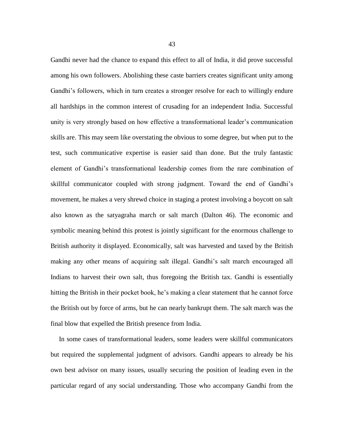Gandhi never had the chance to expand this effect to all of India, it did prove successful among his own followers. Abolishing these caste barriers creates significant unity among Gandhi's followers, which in turn creates a stronger resolve for each to willingly endure all hardships in the common interest of crusading for an independent India. Successful unity is very strongly based on how effective a transformational leader's communication skills are. This may seem like overstating the obvious to some degree, but when put to the test, such communicative expertise is easier said than done. But the truly fantastic element of Gandhi's transformational leadership comes from the rare combination of skillful communicator coupled with strong judgment. Toward the end of Gandhi's movement, he makes a very shrewd choice in staging a protest involving a boycott on salt also known as the satyagraha march or salt march (Dalton 46). The economic and symbolic meaning behind this protest is jointly significant for the enormous challenge to British authority it displayed. Economically, salt was harvested and taxed by the British making any other means of acquiring salt illegal. Gandhi's salt march encouraged all Indians to harvest their own salt, thus foregoing the British tax. Gandhi is essentially hitting the British in their pocket book, he's making a clear statement that he cannot force the British out by force of arms, but he can nearly bankrupt them. The salt march was the final blow that expelled the British presence from India.

 In some cases of transformational leaders, some leaders were skillful communicators but required the supplemental judgment of advisors. Gandhi appears to already be his own best advisor on many issues, usually securing the position of leading even in the particular regard of any social understanding. Those who accompany Gandhi from the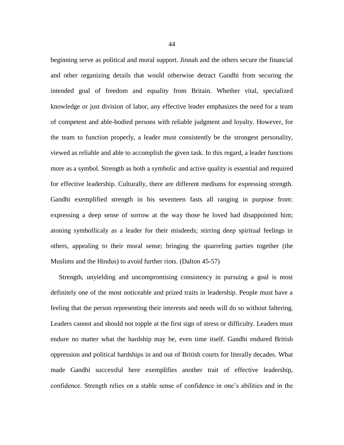beginning serve as political and moral support. Jinnah and the others secure the financial and other organizing details that would otherwise detract Gandhi from securing the intended goal of freedom and equality from Britain. Whether vital, specialized knowledge or just division of labor, any effective leader emphasizes the need for a team of competent and able-bodied persons with reliable judgment and loyalty. However, for the team to function properly, a leader must consistently be the strongest personality, viewed as reliable and able to accomplish the given task. In this regard, a leader functions more as a symbol. Strength as both a symbolic and active quality is essential and required for effective leadership. Culturally, there are different mediums for expressing strength. Gandhi exemplified strength in his seventeen fasts all ranging in purpose from: expressing a deep sense of sorrow at the way those he loved had disappointed him; atoning symbollicaly as a leader for their misdeeds; stirring deep spiritual feelings in others, appealing to their moral sense; bringing the quarreling parties together (the Muslims and the Hindus) to avoid further riots. (Dalton 45-57)

 Strength, unyielding and uncompromising consistency in pursuing a goal is most definitely one of the most noticeable and prized traits in leadership. People must have a feeling that the person representing their interests and needs will do so without faltering. Leaders cannot and should not topple at the first sign of stress or difficulty. Leaders must endure no matter what the hardship may be, even time itself. Gandhi endured British oppression and political hardships in and out of British courts for literally decades. What made Gandhi successful here exemplifies another trait of effective leadership, confidence. Strength relies on a stable sense of confidence in one's abilities and in the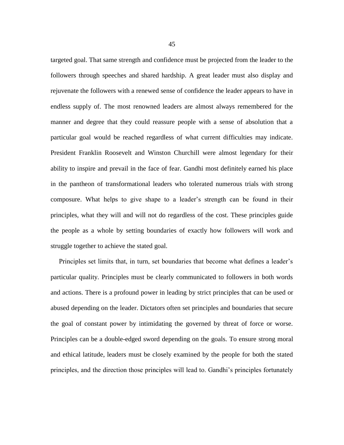targeted goal. That same strength and confidence must be projected from the leader to the followers through speeches and shared hardship. A great leader must also display and rejuvenate the followers with a renewed sense of confidence the leader appears to have in endless supply of. The most renowned leaders are almost always remembered for the manner and degree that they could reassure people with a sense of absolution that a particular goal would be reached regardless of what current difficulties may indicate. President Franklin Roosevelt and Winston Churchill were almost legendary for their ability to inspire and prevail in the face of fear. Gandhi most definitely earned his place in the pantheon of transformational leaders who tolerated numerous trials with strong composure. What helps to give shape to a leader's strength can be found in their principles, what they will and will not do regardless of the cost. These principles guide the people as a whole by setting boundaries of exactly how followers will work and struggle together to achieve the stated goal.

 Principles set limits that, in turn, set boundaries that become what defines a leader's particular quality. Principles must be clearly communicated to followers in both words and actions. There is a profound power in leading by strict principles that can be used or abused depending on the leader. Dictators often set principles and boundaries that secure the goal of constant power by intimidating the governed by threat of force or worse. Principles can be a double-edged sword depending on the goals. To ensure strong moral and ethical latitude, leaders must be closely examined by the people for both the stated principles, and the direction those principles will lead to. Gandhi's principles fortunately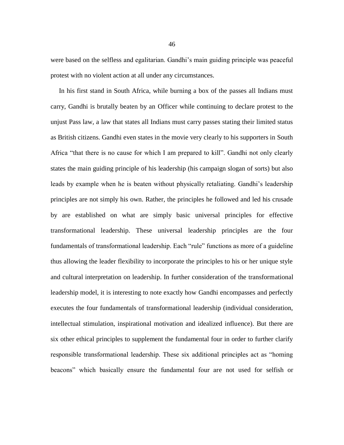were based on the selfless and egalitarian. Gandhi's main guiding principle was peaceful protest with no violent action at all under any circumstances.

 In his first stand in South Africa, while burning a box of the passes all Indians must carry, Gandhi is brutally beaten by an Officer while continuing to declare protest to the unjust Pass law, a law that states all Indians must carry passes stating their limited status as British citizens. Gandhi even states in the movie very clearly to his supporters in South Africa "that there is no cause for which I am prepared to kill". Gandhi not only clearly states the main guiding principle of his leadership (his campaign slogan of sorts) but also leads by example when he is beaten without physically retaliating. Gandhi's leadership principles are not simply his own. Rather, the principles he followed and led his crusade by are established on what are simply basic universal principles for effective transformational leadership. These universal leadership principles are the four fundamentals of transformational leadership. Each "rule" functions as more of a guideline thus allowing the leader flexibility to incorporate the principles to his or her unique style and cultural interpretation on leadership. In further consideration of the transformational leadership model, it is interesting to note exactly how Gandhi encompasses and perfectly executes the four fundamentals of transformational leadership (individual consideration, intellectual stimulation, inspirational motivation and idealized influence). But there are six other ethical principles to supplement the fundamental four in order to further clarify responsible transformational leadership. These six additional principles act as "homing beacons" which basically ensure the fundamental four are not used for selfish or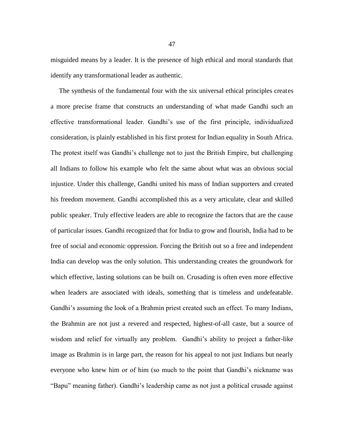misguided means by a leader. It is the presence of high ethical and moral standards that identify any transformational leader as authentic.

 The synthesis of the fundamental four with the six universal ethical principles creates a more precise frame that constructs an understanding of what made Gandhi such an effective transformational leader. Gandhi's use of the first principle, individualized consideration, is plainly established in his first protest for Indian equality in South Africa. The protest itself was Gandhi's challenge not to just the British Empire, but challenging all Indians to follow his example who felt the same about what was an obvious social injustice. Under this challenge, Gandhi united his mass of Indian supporters and created his freedom movement. Gandhi accomplished this as a very articulate, clear and skilled public speaker. Truly effective leaders are able to recognize the factors that are the cause of particular issues. Gandhi recognized that for India to grow and flourish, India had to be free of social and economic oppression. Forcing the British out so a free and independent India can develop was the only solution. This understanding creates the groundwork for which effective, lasting solutions can be built on. Crusading is often even more effective when leaders are associated with ideals, something that is timeless and undefeatable. Gandhi's assuming the look of a Brahmin priest created such an effect. To many Indians, the Brahmin are not just a revered and respected, highest-of-all caste, but a source of wisdom and relief for virtually any problem. Gandhi's ability to project a father-like image as Brahmin is in large part, the reason for his appeal to not just Indians but nearly everyone who knew him or of him (so much to the point that Gandhi's nickname was "Bapu" meaning father). Gandhi's leadership came as not just a political crusade against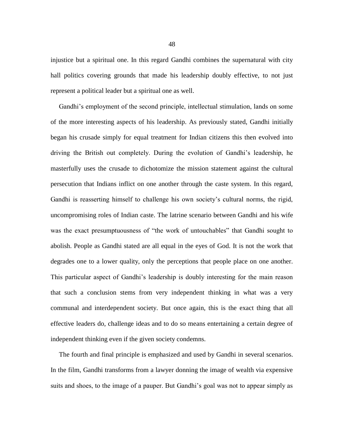injustice but a spiritual one. In this regard Gandhi combines the supernatural with city hall politics covering grounds that made his leadership doubly effective, to not just represent a political leader but a spiritual one as well.

 Gandhi's employment of the second principle, intellectual stimulation, lands on some of the more interesting aspects of his leadership. As previously stated, Gandhi initially began his crusade simply for equal treatment for Indian citizens this then evolved into driving the British out completely. During the evolution of Gandhi's leadership, he masterfully uses the crusade to dichotomize the mission statement against the cultural persecution that Indians inflict on one another through the caste system. In this regard, Gandhi is reasserting himself to challenge his own society's cultural norms, the rigid, uncompromising roles of Indian caste. The latrine scenario between Gandhi and his wife was the exact presumptuousness of "the work of untouchables" that Gandhi sought to abolish. People as Gandhi stated are all equal in the eyes of God. It is not the work that degrades one to a lower quality, only the perceptions that people place on one another. This particular aspect of Gandhi's leadership is doubly interesting for the main reason that such a conclusion stems from very independent thinking in what was a very communal and interdependent society. But once again, this is the exact thing that all effective leaders do, challenge ideas and to do so means entertaining a certain degree of independent thinking even if the given society condemns.

 The fourth and final principle is emphasized and used by Gandhi in several scenarios. In the film, Gandhi transforms from a lawyer donning the image of wealth via expensive suits and shoes, to the image of a pauper. But Gandhi's goal was not to appear simply as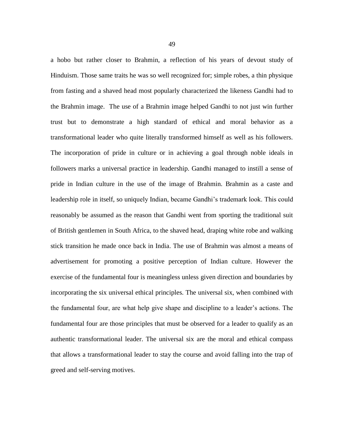a hobo but rather closer to Brahmin, a reflection of his years of devout study of Hinduism. Those same traits he was so well recognized for; simple robes, a thin physique from fasting and a shaved head most popularly characterized the likeness Gandhi had to the Brahmin image. The use of a Brahmin image helped Gandhi to not just win further trust but to demonstrate a high standard of ethical and moral behavior as a transformational leader who quite literally transformed himself as well as his followers. The incorporation of pride in culture or in achieving a goal through noble ideals in followers marks a universal practice in leadership. Gandhi managed to instill a sense of pride in Indian culture in the use of the image of Brahmin. Brahmin as a caste and leadership role in itself, so uniquely Indian, became Gandhi's trademark look. This could reasonably be assumed as the reason that Gandhi went from sporting the traditional suit of British gentlemen in South Africa, to the shaved head, draping white robe and walking stick transition he made once back in India. The use of Brahmin was almost a means of advertisement for promoting a positive perception of Indian culture. However the exercise of the fundamental four is meaningless unless given direction and boundaries by incorporating the six universal ethical principles. The universal six, when combined with the fundamental four, are what help give shape and discipline to a leader's actions. The fundamental four are those principles that must be observed for a leader to qualify as an authentic transformational leader. The universal six are the moral and ethical compass that allows a transformational leader to stay the course and avoid falling into the trap of greed and self-serving motives.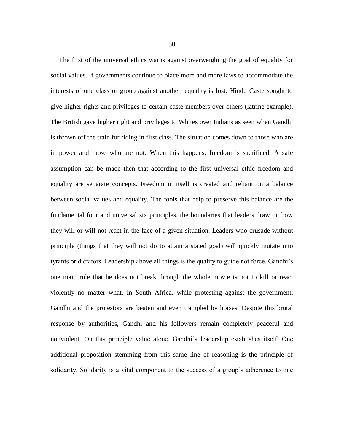The first of the universal ethics warns against overweighing the goal of equality for social values. If governments continue to place more and more laws to accommodate the interests of one class or group against another, equality is lost. Hindu Caste sought to give higher rights and privileges to certain caste members over others (latrine example). The British gave higher right and privileges to Whites over Indians as seen when Gandhi is thrown off the train for riding in first class. The situation comes down to those who are in power and those who are not. When this happens, freedom is sacrificed. A safe assumption can be made then that according to the first universal ethic freedom and equality are separate concepts. Freedom in itself is created and reliant on a balance between social values and equality. The tools that help to preserve this balance are the fundamental four and universal six principles, the boundaries that leaders draw on how they will or will not react in the face of a given situation. Leaders who crusade without principle (things that they will not do to attain a stated goal) will quickly mutate into tyrants or dictators. Leadership above all things is the quality to guide not force. Gandhi's one main rule that he does not break through the whole movie is not to kill or react violently no matter what. In South Africa, while protesting against the government, Gandhi and the protestors are beaten and even trampled by horses. Despite this brutal response by authorities, Gandhi and his followers remain completely peaceful and nonviolent. On this principle value alone, Gandhi's leadership establishes itself. One additional proposition stemming from this same line of reasoning is the principle of solidarity. Solidarity is a vital component to the success of a group's adherence to one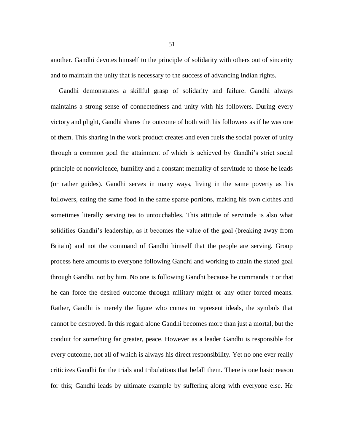another. Gandhi devotes himself to the principle of solidarity with others out of sincerity and to maintain the unity that is necessary to the success of advancing Indian rights.

 Gandhi demonstrates a skillful grasp of solidarity and failure. Gandhi always maintains a strong sense of connectedness and unity with his followers. During every victory and plight, Gandhi shares the outcome of both with his followers as if he was one of them. This sharing in the work product creates and even fuels the social power of unity through a common goal the attainment of which is achieved by Gandhi's strict social principle of nonviolence, humility and a constant mentality of servitude to those he leads (or rather guides). Gandhi serves in many ways, living in the same poverty as his followers, eating the same food in the same sparse portions, making his own clothes and sometimes literally serving tea to untouchables. This attitude of servitude is also what solidifies Gandhi's leadership, as it becomes the value of the goal (breaking away from Britain) and not the command of Gandhi himself that the people are serving. Group process here amounts to everyone following Gandhi and working to attain the stated goal through Gandhi, not by him. No one is following Gandhi because he commands it or that he can force the desired outcome through military might or any other forced means. Rather, Gandhi is merely the figure who comes to represent ideals, the symbols that cannot be destroyed. In this regard alone Gandhi becomes more than just a mortal, but the conduit for something far greater, peace. However as a leader Gandhi is responsible for every outcome, not all of which is always his direct responsibility. Yet no one ever really criticizes Gandhi for the trials and tribulations that befall them. There is one basic reason for this; Gandhi leads by ultimate example by suffering along with everyone else. He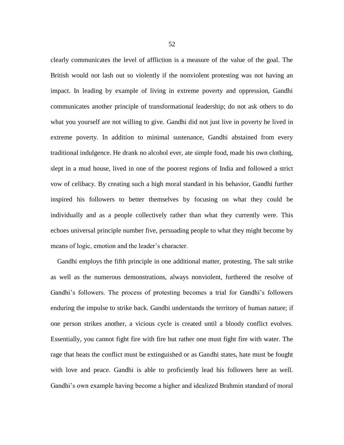clearly communicates the level of affliction is a measure of the value of the goal. The British would not lash out so violently if the nonviolent protesting was not having an impact. In leading by example of living in extreme poverty and oppression, Gandhi communicates another principle of transformational leadership; do not ask others to do what you yourself are not willing to give. Gandhi did not just live in poverty he lived in extreme poverty. In addition to minimal sustenance, Gandhi abstained from every traditional indulgence. He drank no alcohol ever, ate simple food, made his own clothing, slept in a mud house, lived in one of the poorest regions of India and followed a strict vow of celibacy. By creating such a high moral standard in his behavior, Gandhi further inspired his followers to better themselves by focusing on what they could be individually and as a people collectively rather than what they currently were. This echoes universal principle number five, persuading people to what they might become by means of logic, emotion and the leader's character.

 Gandhi employs the fifth principle in one additional matter, protesting. The salt strike as well as the numerous demonstrations, always nonviolent, furthered the resolve of Gandhi's followers. The process of protesting becomes a trial for Gandhi's followers enduring the impulse to strike back. Gandhi understands the territory of human nature; if one person strikes another, a vicious cycle is created until a bloody conflict evolves. Essentially, you cannot fight fire with fire but rather one must fight fire with water. The rage that heats the conflict must be extinguished or as Gandhi states, hate must be fought with love and peace. Gandhi is able to proficiently lead his followers here as well. Gandhi's own example having become a higher and idealized Brahmin standard of moral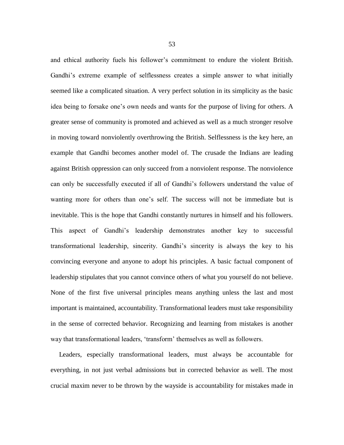and ethical authority fuels his follower's commitment to endure the violent British. Gandhi's extreme example of selflessness creates a simple answer to what initially seemed like a complicated situation. A very perfect solution in its simplicity as the basic idea being to forsake one's own needs and wants for the purpose of living for others. A greater sense of community is promoted and achieved as well as a much stronger resolve in moving toward nonviolently overthrowing the British. Selflessness is the key here, an example that Gandhi becomes another model of. The crusade the Indians are leading against British oppression can only succeed from a nonviolent response. The nonviolence can only be successfully executed if all of Gandhi's followers understand the value of wanting more for others than one's self. The success will not be immediate but is inevitable. This is the hope that Gandhi constantly nurtures in himself and his followers. This aspect of Gandhi's leadership demonstrates another key to successful transformational leadership, sincerity. Gandhi's sincerity is always the key to his convincing everyone and anyone to adopt his principles. A basic factual component of leadership stipulates that you cannot convince others of what you yourself do not believe. None of the first five universal principles means anything unless the last and most important is maintained, accountability. Transformational leaders must take responsibility in the sense of corrected behavior. Recognizing and learning from mistakes is another way that transformational leaders, 'transform' themselves as well as followers.

 Leaders, especially transformational leaders, must always be accountable for everything, in not just verbal admissions but in corrected behavior as well. The most crucial maxim never to be thrown by the wayside is accountability for mistakes made in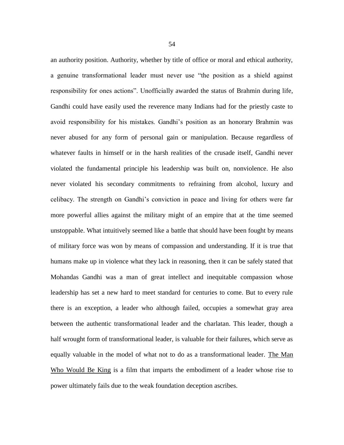an authority position. Authority, whether by title of office or moral and ethical authority, a genuine transformational leader must never use "the position as a shield against responsibility for ones actions". Unofficially awarded the status of Brahmin during life, Gandhi could have easily used the reverence many Indians had for the priestly caste to avoid responsibility for his mistakes. Gandhi's position as an honorary Brahmin was never abused for any form of personal gain or manipulation. Because regardless of whatever faults in himself or in the harsh realities of the crusade itself, Gandhi never violated the fundamental principle his leadership was built on, nonviolence. He also never violated his secondary commitments to refraining from alcohol, luxury and celibacy. The strength on Gandhi's conviction in peace and living for others were far more powerful allies against the military might of an empire that at the time seemed unstoppable. What intuitively seemed like a battle that should have been fought by means of military force was won by means of compassion and understanding. If it is true that humans make up in violence what they lack in reasoning, then it can be safely stated that Mohandas Gandhi was a man of great intellect and inequitable compassion whose leadership has set a new hard to meet standard for centuries to come. But to every rule there is an exception, a leader who although failed, occupies a somewhat gray area between the authentic transformational leader and the charlatan. This leader, though a half wrought form of transformational leader, is valuable for their failures, which serve as equally valuable in the model of what not to do as a transformational leader. The Man Who Would Be King is a film that imparts the embodiment of a leader whose rise to power ultimately fails due to the weak foundation deception ascribes.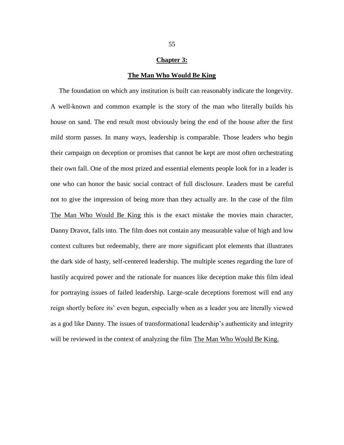## **Chapter 3:**

### **The Man Who Would Be King**

 The foundation on which any institution is built can reasonably indicate the longevity. A well-known and common example is the story of the man who literally builds his house on sand. The end result most obviously being the end of the house after the first mild storm passes. In many ways, leadership is comparable. Those leaders who begin their campaign on deception or promises that cannot be kept are most often orchestrating their own fall. One of the most prized and essential elements people look for in a leader is one who can honor the basic social contract of full disclosure. Leaders must be careful not to give the impression of being more than they actually are. In the case of the film The Man Who Would Be King this is the exact mistake the movies main character, Danny Dravot, falls into. The film does not contain any measurable value of high and low context cultures but redeemably, there are more significant plot elements that illustrates the dark side of hasty, self-centered leadership. The multiple scenes regarding the lure of hastily acquired power and the rationale for nuances like deception make this film ideal for portraying issues of failed leadership. Large-scale deceptions foremost will end any reign shortly before its' even begun, especially when as a leader you are literally viewed as a god like Danny. The issues of transformational leadership's authenticity and integrity will be reviewed in the context of analyzing the film The Man Who Would Be King.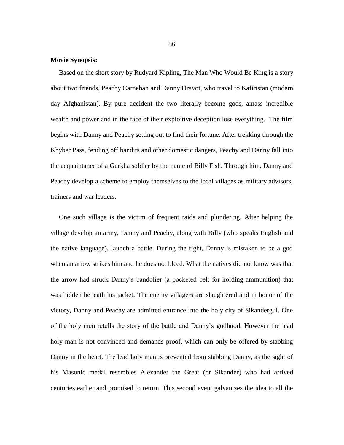# **Movie Synopsis:**

Based on the short story by Rudyard Kipling, The Man Who Would Be King is a story about two friends, Peachy Carnehan and Danny Dravot, who travel to Kafiristan (modern day Afghanistan). By pure accident the two literally become gods, amass incredible wealth and power and in the face of their exploitive deception lose everything. The film begins with Danny and Peachy setting out to find their fortune. After trekking through the Khyber Pass, fending off bandits and other domestic dangers, Peachy and Danny fall into the acquaintance of a Gurkha soldier by the name of Billy Fish. Through him, Danny and Peachy develop a scheme to employ themselves to the local villages as military advisors, trainers and war leaders.

 One such village is the victim of frequent raids and plundering. After helping the village develop an army, Danny and Peachy, along with Billy (who speaks English and the native language), launch a battle. During the fight, Danny is mistaken to be a god when an arrow strikes him and he does not bleed. What the natives did not know was that the arrow had struck Danny's bandolier (a pocketed belt for holding ammunition) that was hidden beneath his jacket. The enemy villagers are slaughtered and in honor of the victory, Danny and Peachy are admitted entrance into the holy city of Sikandergul. One of the holy men retells the story of the battle and Danny's godhood. However the lead holy man is not convinced and demands proof, which can only be offered by stabbing Danny in the heart. The lead holy man is prevented from stabbing Danny, as the sight of his Masonic medal resembles Alexander the Great (or Sikander) who had arrived centuries earlier and promised to return. This second event galvanizes the idea to all the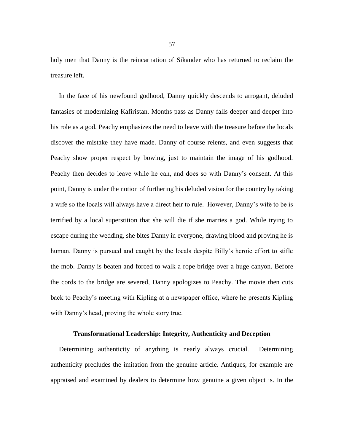holy men that Danny is the reincarnation of Sikander who has returned to reclaim the treasure left.

 In the face of his newfound godhood, Danny quickly descends to arrogant, deluded fantasies of modernizing Kafiristan. Months pass as Danny falls deeper and deeper into his role as a god. Peachy emphasizes the need to leave with the treasure before the locals discover the mistake they have made. Danny of course relents, and even suggests that Peachy show proper respect by bowing, just to maintain the image of his godhood. Peachy then decides to leave while he can, and does so with Danny's consent. At this point, Danny is under the notion of furthering his deluded vision for the country by taking a wife so the locals will always have a direct heir to rule. However, Danny's wife to be is terrified by a local superstition that she will die if she marries a god. While trying to escape during the wedding, she bites Danny in everyone, drawing blood and proving he is human. Danny is pursued and caught by the locals despite Billy's heroic effort to stifle the mob. Danny is beaten and forced to walk a rope bridge over a huge canyon. Before the cords to the bridge are severed, Danny apologizes to Peachy. The movie then cuts back to Peachy's meeting with Kipling at a newspaper office, where he presents Kipling with Danny's head, proving the whole story true.

# **Transformational Leadership: Integrity, Authenticity and Deception**

 Determining authenticity of anything is nearly always crucial. Determining authenticity precludes the imitation from the genuine article. Antiques, for example are appraised and examined by dealers to determine how genuine a given object is. In the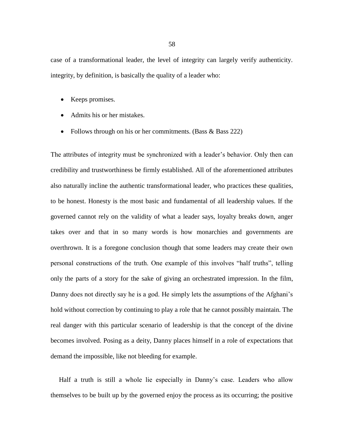case of a transformational leader, the level of integrity can largely verify authenticity. integrity, by definition, is basically the quality of a leader who:

- Keeps promises.
- Admits his or her mistakes.
- Follows through on his or her commitments. (Bass  $\&$  Bass 222)

The attributes of integrity must be synchronized with a leader's behavior. Only then can credibility and trustworthiness be firmly established. All of the aforementioned attributes also naturally incline the authentic transformational leader, who practices these qualities, to be honest. Honesty is the most basic and fundamental of all leadership values. If the governed cannot rely on the validity of what a leader says, loyalty breaks down, anger takes over and that in so many words is how monarchies and governments are overthrown. It is a foregone conclusion though that some leaders may create their own personal constructions of the truth. One example of this involves "half truths", telling only the parts of a story for the sake of giving an orchestrated impression. In the film, Danny does not directly say he is a god. He simply lets the assumptions of the Afghani's hold without correction by continuing to play a role that he cannot possibly maintain. The real danger with this particular scenario of leadership is that the concept of the divine becomes involved. Posing as a deity, Danny places himself in a role of expectations that demand the impossible, like not bleeding for example.

 Half a truth is still a whole lie especially in Danny's case. Leaders who allow themselves to be built up by the governed enjoy the process as its occurring; the positive

58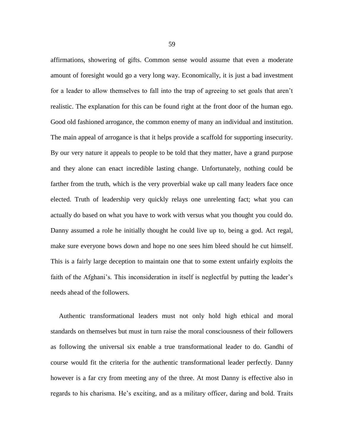affirmations, showering of gifts. Common sense would assume that even a moderate amount of foresight would go a very long way. Economically, it is just a bad investment for a leader to allow themselves to fall into the trap of agreeing to set goals that aren't realistic. The explanation for this can be found right at the front door of the human ego. Good old fashioned arrogance, the common enemy of many an individual and institution. The main appeal of arrogance is that it helps provide a scaffold for supporting insecurity. By our very nature it appeals to people to be told that they matter, have a grand purpose and they alone can enact incredible lasting change. Unfortunately, nothing could be farther from the truth, which is the very proverbial wake up call many leaders face once elected. Truth of leadership very quickly relays one unrelenting fact; what you can actually do based on what you have to work with versus what you thought you could do. Danny assumed a role he initially thought he could live up to, being a god. Act regal, make sure everyone bows down and hope no one sees him bleed should he cut himself. This is a fairly large deception to maintain one that to some extent unfairly exploits the faith of the Afghani's. This inconsideration in itself is neglectful by putting the leader's needs ahead of the followers.

 Authentic transformational leaders must not only hold high ethical and moral standards on themselves but must in turn raise the moral consciousness of their followers as following the universal six enable a true transformational leader to do. Gandhi of course would fit the criteria for the authentic transformational leader perfectly. Danny however is a far cry from meeting any of the three. At most Danny is effective also in regards to his charisma. He's exciting, and as a military officer, daring and bold. Traits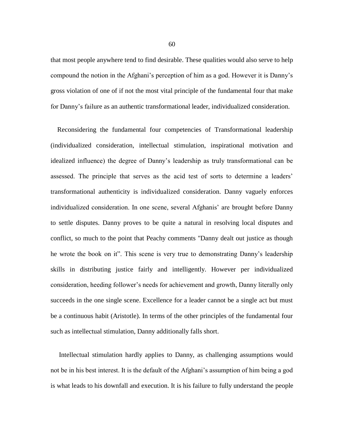that most people anywhere tend to find desirable. These qualities would also serve to help compound the notion in the Afghani's perception of him as a god. However it is Danny's gross violation of one of if not the most vital principle of the fundamental four that make for Danny's failure as an authentic transformational leader, individualized consideration.

 Reconsidering the fundamental four competencies of Transformational leadership (individualized consideration, intellectual stimulation, inspirational motivation and idealized influence) the degree of Danny's leadership as truly transformational can be assessed. The principle that serves as the acid test of sorts to determine a leaders' transformational authenticity is individualized consideration. Danny vaguely enforces individualized consideration. In one scene, several Afghanis' are brought before Danny to settle disputes. Danny proves to be quite a natural in resolving local disputes and conflict, so much to the point that Peachy comments "Danny dealt out justice as though he wrote the book on it". This scene is very true to demonstrating Danny's leadership skills in distributing justice fairly and intelligently. However per individualized consideration, heeding follower's needs for achievement and growth, Danny literally only succeeds in the one single scene. Excellence for a leader cannot be a single act but must be a continuous habit (Aristotle). In terms of the other principles of the fundamental four such as intellectual stimulation, Danny additionally falls short.

 Intellectual stimulation hardly applies to Danny, as challenging assumptions would not be in his best interest. It is the default of the Afghani's assumption of him being a god is what leads to his downfall and execution. It is his failure to fully understand the people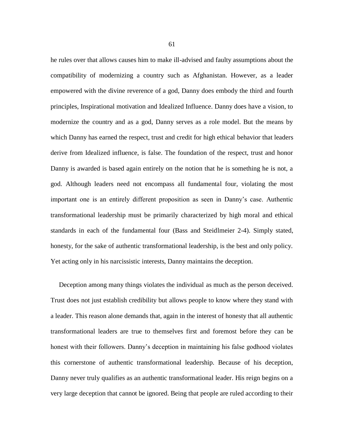he rules over that allows causes him to make ill-advised and faulty assumptions about the compatibility of modernizing a country such as Afghanistan. However, as a leader empowered with the divine reverence of a god, Danny does embody the third and fourth principles, Inspirational motivation and Idealized Influence. Danny does have a vision, to modernize the country and as a god, Danny serves as a role model. But the means by which Danny has earned the respect, trust and credit for high ethical behavior that leaders derive from Idealized influence, is false. The foundation of the respect, trust and honor Danny is awarded is based again entirely on the notion that he is something he is not, a god. Although leaders need not encompass all fundamental four, violating the most important one is an entirely different proposition as seen in Danny's case. Authentic transformational leadership must be primarily characterized by high moral and ethical standards in each of the fundamental four (Bass and Steidlmeier 2-4). Simply stated, honesty, for the sake of authentic transformational leadership, is the best and only policy. Yet acting only in his narcissistic interests, Danny maintains the deception.

 Deception among many things violates the individual as much as the person deceived. Trust does not just establish credibility but allows people to know where they stand with a leader. This reason alone demands that, again in the interest of honesty that all authentic transformational leaders are true to themselves first and foremost before they can be honest with their followers. Danny's deception in maintaining his false godhood violates this cornerstone of authentic transformational leadership. Because of his deception, Danny never truly qualifies as an authentic transformational leader. His reign begins on a very large deception that cannot be ignored. Being that people are ruled according to their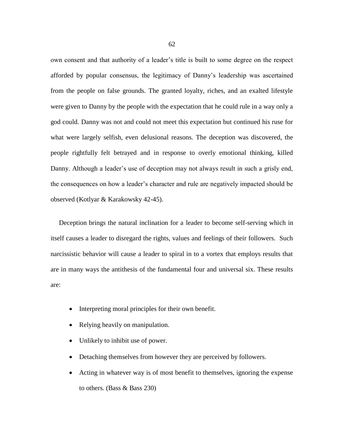own consent and that authority of a leader's title is built to some degree on the respect afforded by popular consensus, the legitimacy of Danny's leadership was ascertained from the people on false grounds. The granted loyalty, riches, and an exalted lifestyle were given to Danny by the people with the expectation that he could rule in a way only a god could. Danny was not and could not meet this expectation but continued his ruse for what were largely selfish, even delusional reasons. The deception was discovered, the people rightfully felt betrayed and in response to overly emotional thinking, killed Danny. Although a leader's use of deception may not always result in such a grisly end, the consequences on how a leader's character and rule are negatively impacted should be observed (Kotlyar & Karakowsky 42-45).

 Deception brings the natural inclination for a leader to become self-serving which in itself causes a leader to disregard the rights, values and feelings of their followers. Such narcissistic behavior will cause a leader to spiral in to a vortex that employs results that are in many ways the antithesis of the fundamental four and universal six. These results are:

- Interpreting moral principles for their own benefit.
- Relying heavily on manipulation.
- Unlikely to inhibit use of power.
- Detaching themselves from however they are perceived by followers.
- Acting in whatever way is of most benefit to themselves, ignoring the expense to others. (Bass & Bass 230)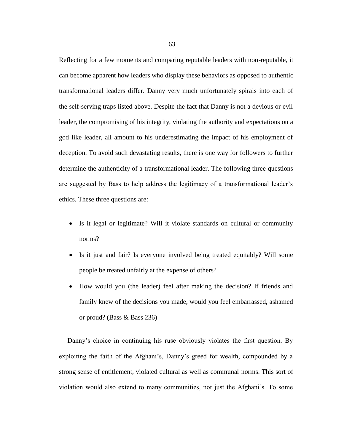Reflecting for a few moments and comparing reputable leaders with non-reputable, it can become apparent how leaders who display these behaviors as opposed to authentic transformational leaders differ. Danny very much unfortunately spirals into each of the self-serving traps listed above. Despite the fact that Danny is not a devious or evil leader, the compromising of his integrity, violating the authority and expectations on a god like leader, all amount to his underestimating the impact of his employment of deception. To avoid such devastating results, there is one way for followers to further determine the authenticity of a transformational leader. The following three questions are suggested by Bass to help address the legitimacy of a transformational leader's ethics. These three questions are:

- Is it legal or legitimate? Will it violate standards on cultural or community norms?
- Is it just and fair? Is everyone involved being treated equitably? Will some people be treated unfairly at the expense of others?
- How would you (the leader) feel after making the decision? If friends and family knew of the decisions you made, would you feel embarrassed, ashamed or proud? (Bass & Bass 236)

 Danny's choice in continuing his ruse obviously violates the first question. By exploiting the faith of the Afghani's, Danny's greed for wealth, compounded by a strong sense of entitlement, violated cultural as well as communal norms. This sort of violation would also extend to many communities, not just the Afghani's. To some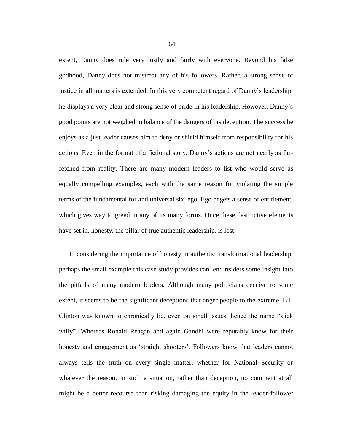extent, Danny does rule very justly and fairly with everyone. Beyond his false godhood, Danny does not mistreat any of his followers. Rather, a strong sense of justice in all matters is extended. In this very competent regard of Danny's leadership, he displays a very clear and strong sense of pride in his leadership. However, Danny's good points are not weighed in balance of the dangers of his deception. The success he enjoys as a just leader causes him to deny or shield himself from responsibility for his actions. Even in the format of a fictional story, Danny's actions are not nearly as farfetched from reality. There are many modern leaders to list who would serve as equally compelling examples, each with the same reason for violating the simple terms of the fundamental for and universal six, ego. Ego begets a sense of entitlement, which gives way to greed in any of its many forms. Once these destructive elements have set in, honesty, the pillar of true authentic leadership, is lost.

 In considering the importance of honesty in authentic transformational leadership, perhaps the small example this case study provides can lend readers some insight into the pitfalls of many modern leaders. Although many politicians deceive to some extent, it seems to be the significant deceptions that anger people to the extreme. Bill Clinton was known to chronically lie, even on small issues, hence the name "slick willy". Whereas Ronald Reagan and again Gandhi were reputably know for their honesty and engagement as 'straight shooters'. Followers know that leaders cannot always tells the truth on every single matter, whether for National Security or whatever the reason. In such a situation, rather than deception, no comment at all might be a better recourse than risking damaging the equity in the leader-follower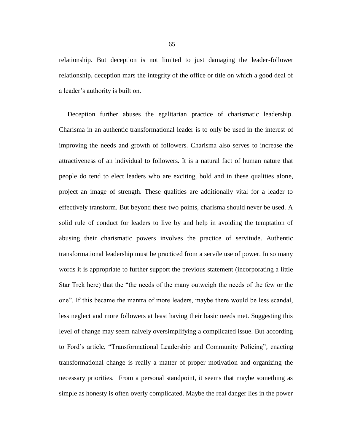relationship. But deception is not limited to just damaging the leader-follower relationship, deception mars the integrity of the office or title on which a good deal of a leader's authority is built on.

 Deception further abuses the egalitarian practice of charismatic leadership. Charisma in an authentic transformational leader is to only be used in the interest of improving the needs and growth of followers. Charisma also serves to increase the attractiveness of an individual to followers. It is a natural fact of human nature that people do tend to elect leaders who are exciting, bold and in these qualities alone, project an image of strength. These qualities are additionally vital for a leader to effectively transform. But beyond these two points, charisma should never be used. A solid rule of conduct for leaders to live by and help in avoiding the temptation of abusing their charismatic powers involves the practice of servitude. Authentic transformational leadership must be practiced from a servile use of power. In so many words it is appropriate to further support the previous statement (incorporating a little Star Trek here) that the "the needs of the many outweigh the needs of the few or the one". If this became the mantra of more leaders, maybe there would be less scandal, less neglect and more followers at least having their basic needs met. Suggesting this level of change may seem naively oversimplifying a complicated issue. But according to Ford's article, "Transformational Leadership and Community Policing"*,* enacting transformational change is really a matter of proper motivation and organizing the necessary priorities. From a personal standpoint, it seems that maybe something as simple as honesty is often overly complicated. Maybe the real danger lies in the power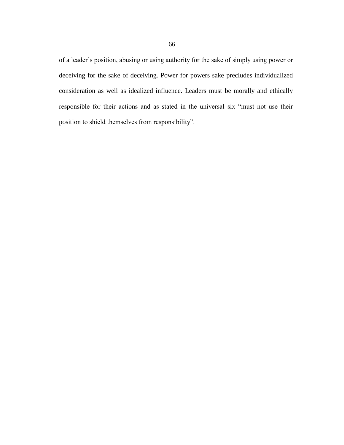of a leader's position, abusing or using authority for the sake of simply using power or deceiving for the sake of deceiving. Power for powers sake precludes individualized consideration as well as idealized influence. Leaders must be morally and ethically responsible for their actions and as stated in the universal six "must not use their position to shield themselves from responsibility".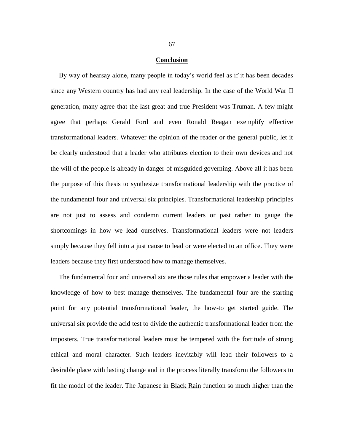### **Conclusion**

 By way of hearsay alone, many people in today's world feel as if it has been decades since any Western country has had any real leadership. In the case of the World War II generation, many agree that the last great and true President was Truman. A few might agree that perhaps Gerald Ford and even Ronald Reagan exemplify effective transformational leaders. Whatever the opinion of the reader or the general public, let it be clearly understood that a leader who attributes election to their own devices and not the will of the people is already in danger of misguided governing. Above all it has been the purpose of this thesis to synthesize transformational leadership with the practice of the fundamental four and universal six principles. Transformational leadership principles are not just to assess and condemn current leaders or past rather to gauge the shortcomings in how we lead ourselves. Transformational leaders were not leaders simply because they fell into a just cause to lead or were elected to an office. They were leaders because they first understood how to manage themselves.

 The fundamental four and universal six are those rules that empower a leader with the knowledge of how to best manage themselves. The fundamental four are the starting point for any potential transformational leader, the how-to get started guide. The universal six provide the acid test to divide the authentic transformational leader from the imposters. True transformational leaders must be tempered with the fortitude of strong ethical and moral character. Such leaders inevitably will lead their followers to a desirable place with lasting change and in the process literally transform the followers to fit the model of the leader. The Japanese in Black Rain function so much higher than the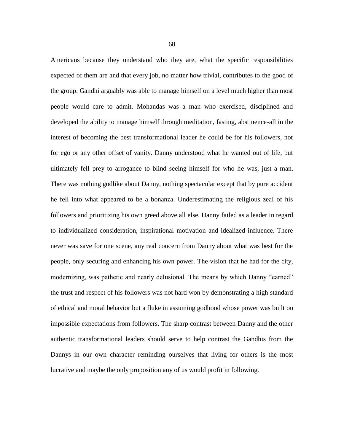Americans because they understand who they are, what the specific responsibilities expected of them are and that every job, no matter how trivial, contributes to the good of the group. Gandhi arguably was able to manage himself on a level much higher than most people would care to admit. Mohandas was a man who exercised, disciplined and developed the ability to manage himself through meditation, fasting, abstinence-all in the interest of becoming the best transformational leader he could be for his followers, not for ego or any other offset of vanity. Danny understood what he wanted out of life, but ultimately fell prey to arrogance to blind seeing himself for who he was, just a man. There was nothing godlike about Danny, nothing spectacular except that by pure accident he fell into what appeared to be a bonanza. Underestimating the religious zeal of his followers and prioritizing his own greed above all else, Danny failed as a leader in regard to individualized consideration, inspirational motivation and idealized influence. There never was save for one scene, any real concern from Danny about what was best for the people, only securing and enhancing his own power. The vision that he had for the city, modernizing, was pathetic and nearly delusional. The means by which Danny "earned" the trust and respect of his followers was not hard won by demonstrating a high standard of ethical and moral behavior but a fluke in assuming godhood whose power was built on impossible expectations from followers. The sharp contrast between Danny and the other authentic transformational leaders should serve to help contrast the Gandhis from the Dannys in our own character reminding ourselves that living for others is the most lucrative and maybe the only proposition any of us would profit in following.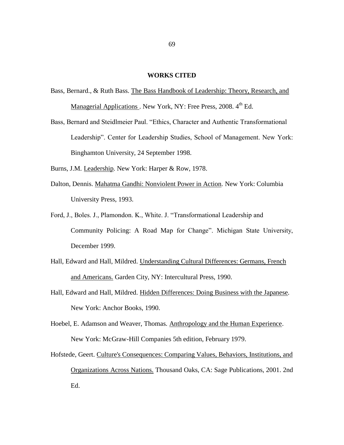## **WORKS CITED**

- Bass, Bernard., & Ruth Bass. The Bass Handbook of Leadership: Theory, Research, and Managerial Applications . New York, NY: Free Press, 2008. 4<sup>th</sup> Ed.
- Bass, Bernard and Steidlmeier Paul. "Ethics, Character and Authentic Transformational Leadership". Center for Leadership Studies, School of Management. New York: Binghamton University, 24 September 1998.
- Burns, J.M. Leadership*.* New York: Harper & Row, 1978.
- Dalton, Dennis. Mahatma Gandhi: Nonviolent Power in Action*.* New York: Columbia University Press, 1993.
- Ford, J., Boles. J., Plamondon. K., White. J. "Transformational Leadership and Community Policing: A Road Map for Change". Michigan State University, December 1999.
- Hall, Edward and Hall, Mildred. Understanding Cultural Differences: Germans, French and Americans. Garden City, NY: Intercultural Press, 1990.
- Hall, Edward and Hall, Mildred. Hidden Differences: Doing Business with the Japanese*.* New York: Anchor Books, 1990.
- Hoebel, E. Adamson and Weaver, Thomas. Anthropology and the Human Experience. New York: McGraw-Hill Companies 5th edition, February 1979.
- Hofstede, Geert. Culture's Consequences: Comparing Values, Behaviors, Institutions, and Organizations Across Nations. Thousand Oaks, CA: Sage Publications, 2001. 2nd Ed.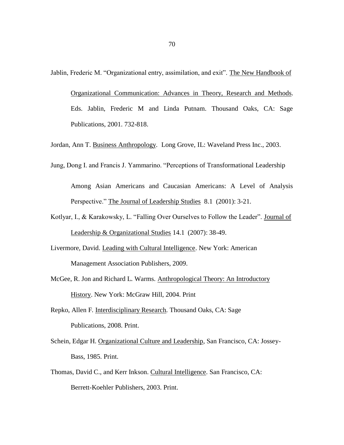Jablin, Frederic M. "Organizational entry, assimilation, and exit". The New Handbook of

Organizational Communication: Advances in Theory, Research and Methods. Eds. Jablin, Frederic M and Linda Putnam. Thousand Oaks, CA: Sage Publications, 2001. 732-818.

Jordan, Ann T. Business Anthropology*.* Long Grove, IL: Waveland Press Inc., 2003.

Jung, Dong I. and Francis J. Yammarino. "Perceptions of Transformational Leadership

Among Asian Americans and Caucasian Americans: A Level of Analysis Perspective." The Journal of Leadership Studies 8.1 (2001): 3-21.

- Kotlyar, I., & Karakowsky, L. "Falling Over Ourselves to Follow the Leader". Journal of Leadership & Organizational Studies 14.1 (2007): 38-49.
- Livermore, David. Leading with Cultural Intelligence. New York: American Management Association Publishers, 2009.
- McGee, R. Jon and Richard L. Warms. Anthropological Theory: An Introductory History. New York: McGraw Hill, 2004. Print
- Repko, Allen F. Interdisciplinary Research*.* Thousand Oaks, CA: Sage Publications, 2008. Print.
- Schein, Edgar H. Organizational Culture and Leadership, San Francisco, CA: Jossey-Bass, 1985. Print.
- Thomas, David C., and Kerr Inkson. Cultural Intelligence*.* San Francisco, CA: Berrett-Koehler Publishers, 2003. Print.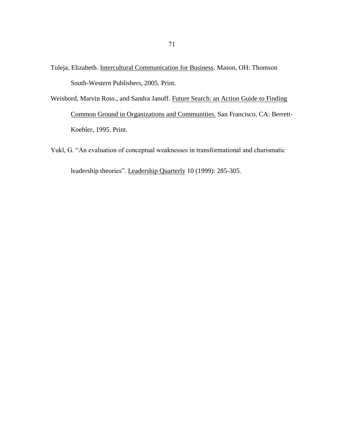- Tuleja, Elizabeth. Intercultural Communication for Business*.* Mason, OH: Thomson South-Western Publishers, 2005. Print.
- Weisbord, Marvin Ross., and Sandra Janoff. Future Search: an Action Guide to Finding Common Ground in Organizations and Communities. San Francisco, CA: Berrett-Koehler, 1995. Print.
- Yukl, G. "An evaluation of conceptual weaknesses in transformational and charismatic leadership theories"*.* Leadership Quarterly 10 (1999): 285-305.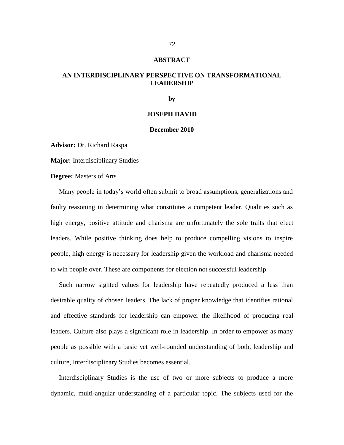#### **ABSTRACT**

# **AN INTERDISCIPLINARY PERSPECTIVE ON TRANSFORMATIONAL LEADERSHIP**

**by**

#### **JOSEPH DAVID**

## **December 2010**

**Advisor:** Dr. Richard Raspa

**Major:** Interdisciplinary Studies

**Degree:** Masters of Arts

 Many people in today's world often submit to broad assumptions, generalizations and faulty reasoning in determining what constitutes a competent leader. Qualities such as high energy, positive attitude and charisma are unfortunately the sole traits that elect leaders. While positive thinking does help to produce compelling visions to inspire people, high energy is necessary for leadership given the workload and charisma needed to win people over. These are components for election not successful leadership.

 Such narrow sighted values for leadership have repeatedly produced a less than desirable quality of chosen leaders. The lack of proper knowledge that identifies rational and effective standards for leadership can empower the likelihood of producing real leaders. Culture also plays a significant role in leadership. In order to empower as many people as possible with a basic yet well-rounded understanding of both, leadership and culture, Interdisciplinary Studies becomes essential.

 Interdisciplinary Studies is the use of two or more subjects to produce a more dynamic, multi-angular understanding of a particular topic. The subjects used for the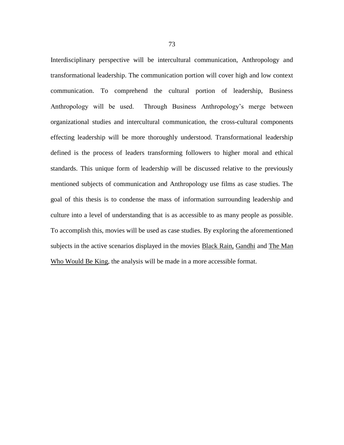Interdisciplinary perspective will be intercultural communication, Anthropology and transformational leadership. The communication portion will cover high and low context communication. To comprehend the cultural portion of leadership, Business Anthropology will be used. Through Business Anthropology's merge between organizational studies and intercultural communication, the cross-cultural components effecting leadership will be more thoroughly understood. Transformational leadership defined is the process of leaders transforming followers to higher moral and ethical standards. This unique form of leadership will be discussed relative to the previously mentioned subjects of communication and Anthropology use films as case studies. The goal of this thesis is to condense the mass of information surrounding leadership and culture into a level of understanding that is as accessible to as many people as possible. To accomplish this, movies will be used as case studies. By exploring the aforementioned subjects in the active scenarios displayed in the movies **Black Rain**, Gandhi and The Man Who Would Be King, the analysis will be made in a more accessible format.